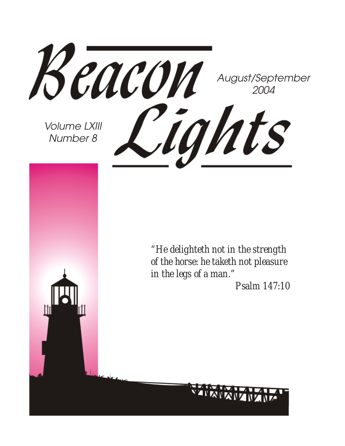Beacon August/September 2004 Cights Volume LXIII Number 8 *"He delighteth not in the strength of the horse: he taketh not pleasure in the legs of a man." Psalm 147:10*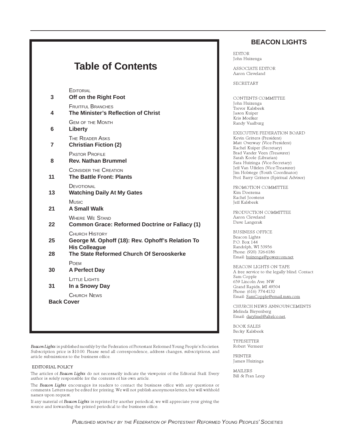|    | <b>Table of Contents</b>                                                       |
|----|--------------------------------------------------------------------------------|
| 3  | <b>EDITORIAL</b><br>Off on the Right Foot                                      |
| 4  | <b>FRUITEUL BRANCHES</b><br>The Minister's Reflection of Christ                |
| 6  | <b>GEM OF THE MONTH</b><br>Liberty                                             |
| 7  | THE READER ASKS<br><b>Christian Fiction (2)</b>                                |
| 8  | <b>PASTOR PROFILE</b><br><b>Rev. Nathan Brummel</b>                            |
| 11 | CONSIDER THE CREATION<br><b>The Battle Front: Plants</b>                       |
| 13 | DEVOTIONAL<br><b>Watching Daily At My Gates</b>                                |
| 21 | Music<br><b>A Small Walk</b>                                                   |
| 22 | <b>WHERE WE STAND</b><br><b>Common Grace: Reformed Doctrine or Fallacy (1)</b> |
| 25 | <b>CHURCH HISTORY</b><br>George M. Ophoff (18): Rev. Ophoff's Relation To      |
| 28 | <b>His Colleague</b><br>The State Reformed Church Of Serooskerke               |
| 30 | POEM<br><b>A Perfect Day</b>                                                   |
| 31 | LITTLE LIGHTS<br>In a Snowy Day                                                |
|    | CHURCH NEWS<br><b>Back Cover</b>                                               |

Beacon Lights is published monthly by the Federation of Protestant Reformed Young People's Societies. Subscription price is \$10.00. Please send all correspondence, address changes, subscriptions, and article submissions to the business office.

#### EDITORIAL POLICY

The articles of Beacon Lights do not necessarily indicate the viewpoint of the Editorial Staff. Every author is solely responsible for the contents of his own article.

The Beacon Lights encourages its readers to contact the business office with any questions or comments. Letters may be edited for printing. We will not publish anonymous letters, but will withhold names upon request.

If any material of Beacon Lights is reprinted by another periodical, we will appreciate your giving the source and forwarding the printed periodical to the business office.

#### **BEACON LIGHTS**

EDITOR John Huizenga

ASSOCIATE EDITOR Aaron Cleveland

SECRETARY

CONTENTS COMMITTEE John Huizenga Trevor Kalsbeek Jason Kuiper Kris Moelker Randy Vaalburg

EXECUTIVE FEDERATION BOARD Kevin Gritters (President) Matt Overway (Vice-President) Rachel Kuiper (Secretary) Brad Vander Veen (Treasurer) Sarah Koole (Librarian) Sara Huizinga (Vice-Secretary) Jeff Van Uffelen (Vice-Treasurer) Jim Holstege (Youth Coordinator) Prof. Barry Gritters (Spiritual Advisor)

PROMOTION COMMITTEE Kim Doezema Rachel Joostens Jeff Kalsbeek

PRODUCTION COMMITTEE Aaron Cleveland Dave Langerak

BUSINESS OFFICE Beacon Lights P.O. Box 144 Randolph, WI 53956 Phone: (920) 326-6186 Email: huizenga@powercom.net

BEACON LIGHTS ON TAPE A free service to the legally blind. Contact Sam Copple 659 Lincoln Ave. NW Grand Rapids, MI 49504 Phone: (616) 774-4132 Email: SamCopple@email.msn.com

CHURCH NEWS ANNOUNCEMENTS Melinda Bleyenberg Email: darylmel@altelco.net.

BOOK SALES Becky Kalsbeek

TYPESETTER Robert Vermeer

PRINTER James Huizinga

MAILERS Bill & Fran Leep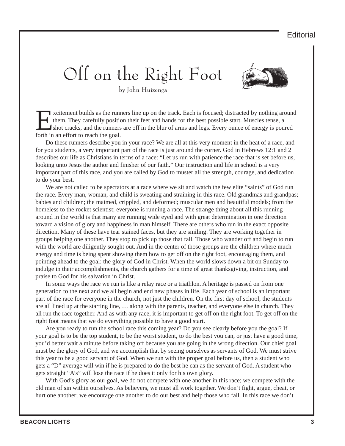#### **Editorial**

### Off on the Right Foot



by John Huizenga

**T** xcitement builds as the runners line up on the track. Each is focused; distracted by nothing around them. They carefully position their feet and hands for the best possible start. Muscles tense, a shot cracks, and the runners are off in the blur of arms and legs. Every ounce of energy is poured forth in an effort to reach the goal.

Do these runners describe you in your race? We are all at this very moment in the heat of a race, and for you students, a very important part of the race is just around the corner. God in Hebrews 12:1 and 2 describes our life as Christians in terms of a race: "Let us run with patience the race that is set before us, looking unto Jesus the author and finisher of our faith." Our instruction and life in school is a very important part of this race, and you are called by God to muster all the strength, courage, and dedication to do your best.

We are not called to be spectators at a race where we sit and watch the few elite "saints" of God run the race. Every man, woman, and child is sweating and straining in this race. Old grandmas and grandpas; babies and children; the maimed, crippled, and deformed; muscular men and beautiful models; from the homeless to the rocket scientist; everyone is running a race. The strange thing about all this running around in the world is that many are running wide eyed and with great determination in one direction toward a vision of glory and happiness in man himself. There are others who run in the exact opposite direction. Many of these have tear stained faces, but they are smiling. They are working together in groups helping one another. They stop to pick up those that fall. Those who wander off and begin to run with the world are diligently sought out. And in the center of those groups are the children where much energy and time is being spent showing them how to get off on the right foot, encouraging them, and pointing ahead to the goal: the glory of God in Christ. When the world slows down a bit on Sunday to indulge in their accomplishments, the church gathers for a time of great thanksgiving, instruction, and praise to God for his salvation in Christ.

In some ways the race we run is like a relay race or a triathlon. A heritage is passed on from one generation to the next and we all begin and end new phases in life. Each year of school is an important part of the race for everyone in the church, not just the children. On the first day of school, the students are all lined up at the starting line, … along with the parents, teacher, and everyone else in church. They all run the race together. And as with any race, it is important to get off on the right foot. To get off on the right foot means that we do everything possible to have a good start.

Are you ready to run the school race this coming year? Do you see clearly before you the goal? If your goal is to be the top student, to be the worst student, to do the best you can, or just have a good time, you'd better wait a minute before taking off because you are going in the wrong direction. Our chief goal must be the glory of God, and we accomplish that by seeing ourselves as servants of God. We must strive this year to be a good servant of God. When we run with the proper goal before us, then a student who gets a "D" average will win if he is prepared to do the best he can as the servant of God. A student who gets straight "A's" will lose the race if he does it only for his own glory.

With God's glory as our goal, we do not compete with one another in this race; we compete with the old man of sin within ourselves. As believers, we must all work together. We don't fight, argue, cheat, or hurt one another; we encourage one another to do our best and help those who fall. In this race we don't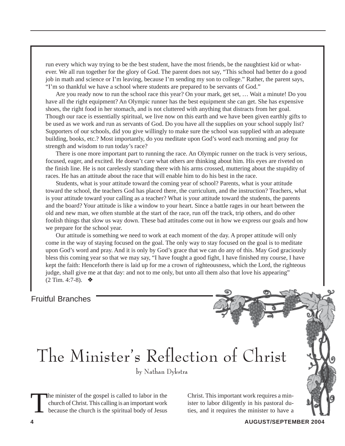run every which way trying to be the best student, have the most friends, be the naughtiest kid or whatever. We all run together for the glory of God. The parent does not say, "This school had better do a good job in math and science or I'm leaving, because I'm sending my son to college." Rather, the parent says, "I'm so thankful we have a school where students are prepared to be servants of God."

Are you ready now to run the school race this year? On your mark, get set, … Wait a minute! Do you have all the right equipment? An Olympic runner has the best equipment she can get. She has expensive shoes, the right food in her stomach, and is not cluttered with anything that distracts from her goal. Though our race is essentially spiritual, we live now on this earth and we have been given earthly gifts to be used as we work and run as servants of God. Do you have all the supplies on your school supply list? Supporters of our schools, did you give willingly to make sure the school was supplied with an adequate building, books, etc.? Most importantly, do you meditate upon God's word each morning and pray for strength and wisdom to run today's race?

There is one more important part to running the race. An Olympic runner on the track is very serious, focused, eager, and excited. He doesn't care what others are thinking about him. His eyes are riveted on the finish line. He is not carelessly standing there with his arms crossed, muttering about the stupidity of races. He has an attitude about the race that will enable him to do his best in the race.

Students, what is your attitude toward the coming year of school? Parents, what is your attitude toward the school, the teachers God has placed there, the curriculum, and the instruction? Teachers, what is your attitude toward your calling as a teacher? What is your attitude toward the students, the parents and the board? Your attitude is like a window to your heart. Since a battle rages in our heart between the old and new man, we often stumble at the start of the race, run off the track, trip others, and do other foolish things that slow us way down. These bad attitudes come out in how we express our goals and how we prepare for the school year.

Our attitude is something we need to work at each moment of the day. A proper attitude will only come in the way of staying focused on the goal. The only way to stay focused on the goal is to meditate upon God's word and pray. And it is only by God's grace that we can do any of this. May God graciously bless this coming year so that we may say, "I have fought a good fight, I have finished my course, I have kept the faith: Henceforth there is laid up for me a crown of righteousness, which the Lord, the righteous judge, shall give me at that day: and not to me only, but unto all them also that love his appearing" (2 Tim. 4:7-8). ❖

#### Fruitful Branches

## The Minister's Reflection of Christ

by Nathan Dykstra

The minister of the gospel is called to labor in the church of Christ. This calling is an important work because the church is the spiritual body of Jesus Christ. This important work requires a minister to labor diligently in his pastoral duties, and it requires the minister to have a

Story Time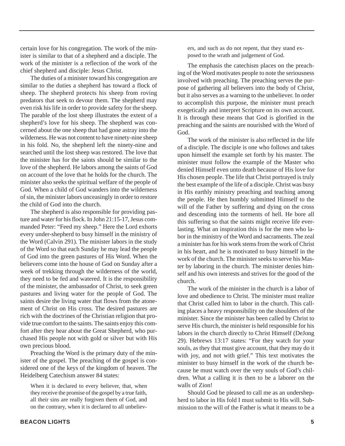certain love for his congregation. The work of the minister is similar to that of a shepherd and a disciple. The work of the minister is a reflection of the work of the chief shepherd and disciple: Jesus Christ.

The duties of a minister toward his congregation are similar to the duties a shepherd has toward a flock of sheep. The shepherd protects his sheep from roving predators that seek to devour them. The shepherd may even risk his life in order to provide safety for the sheep. The parable of the lost sheep illustrates the extent of a shepherd's love for his sheep. The shepherd was concerned about the one sheep that had gone astray into the wilderness. He was not content to have ninety-nine sheep in his fold. No, the shepherd left the ninety-nine and searched until the lost sheep was restored. The love that the minister has for the saints should be similar to the love of the shepherd. He labors among the saints of God on account of the love that he holds for the church. The minister also seeks the spiritual welfare of the people of God. When a child of God wanders into the wilderness of sin, the minister labors unceasingly in order to restore the child of God into the church.

The shepherd is also responsible for providing pasture and water for his flock. In John 21:15-17, Jesus commanded Peter: "Feed my sheep." Here the Lord exhorts every under-shepherd to busy himself in the ministry of the Word (Calvin 291). The minister labors in the study of the Word so that each Sunday he may lead the people of God into the green pastures of His Word. When the believers come into the house of God on Sunday after a week of trekking through the wilderness of the world, they need to be fed and watered. It is the responsibility of the minister, the ambassador of Christ, to seek green pastures and living water for the people of God. The saints desire the living water that flows from the atonement of Christ on His cross. The desired pastures are rich with the doctrines of the Christian religion that provide true comfort to the saints. The saints enjoy this comfort after they hear about the Great Shepherd, who purchased His people not with gold or silver but with His own precious blood.

Preaching the Word is the primary duty of the minister of the gospel. The preaching of the gospel is considered one of the keys of the kingdom of heaven. The Heidelberg Catechism answer 84 states:

When it is declared to every believer, that, when they receive the promise of the gospel by a true faith, all their sins are really forgiven them of God, and on the contrary, when it is declared to all unbelievers, and such as do not repent, that they stand exposed to the wrath and judgement of God.

The emphasis the catechism places on the preaching of the Word motivates people to note the seriousness involved with preaching. The preaching serves the purpose of gathering all believers into the body of Christ, but it also serves as a warning to the unbeliever. In order to accomplish this purpose, the minister must preach exegetically and interpret Scripture on its own account. It is through these means that God is glorified in the preaching and the saints are nourished with the Word of God.

The work of the minister is also reflected in the life of a disciple. The disciple is one who follows and takes upon himself the example set forth by his master. The minister must follow the example of the Master who denied Himself even unto death because of His love for His chosen people. The life that Christ portrayed is truly the best example of the life of a disciple. Christ was busy in His earthly ministry preaching and teaching among the people. He then humbly submitted Himself to the will of the Father by suffering and dying on the cross and descending into the torments of hell. He bore all this suffering so that the saints might receive life everlasting. What an inspiration this is for the men who labor in the ministry of the Word and sacraments. The zeal a minister has for his work stems from the work of Christ in his heart, and he is motivated to busy himself in the work of the church. The minister seeks to serve his Master by laboring in the church. The minister denies himself and his own interests and strives for the good of the church.

The work of the minister in the church is a labor of love and obedience to Christ. The minister must realize that Christ called him to labor in the church. This calling places a heavy responsibility on the shoulders of the minister. Since the minister has been called by Christ to serve His church, the minister is held responsible for his labors in the church directly to Christ Himself (DeJong 29). Hebrews 13:17 states: "For they watch for your souls, as they that must give account, that they may do it with joy, and not with grief." This text motivates the minister to busy himself in the work of the church because he must watch over the very souls of God's children. What a calling it is then to be a laborer on the walls of Zion!

Should God be pleased to call me as an undershepherd to labor in His fold I must submit to His will. Submission to the will of the Father is what it means to be a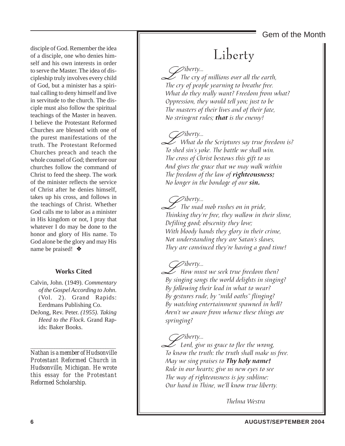### Liberty

disciple of God. Remember the idea of a disciple, one who denies himself and his own interests in order to serve the Master. The idea of discipleship truly involves every child of God, but a minister has a spiritual calling to deny himself and live in servitude to the church. The disciple must also follow the spiritual teachings of the Master in heaven. I believe the Protestant Reformed Churches are blessed with one of the purest manifestations of the truth. The Protestant Reformed Churches preach and teach the whole counsel of God; therefore our churches follow the command of Christ to feed the sheep. The work of the minister reflects the service of Christ after he denies himself, takes up his cross, and follows in the teachings of Christ. Whether God calls me to labor as a minister in His kingdom or not, I pray that whatever I do may be done to the honor and glory of His name. To God alone be the glory and may His name be praised! ❖

#### **Works Cited**

Calvin, John. (1949). *Commentary of the Gospel According to John*. (Vol. 2). Grand Rapids: Eerdmans Publishing Co. DeJong, Rev. Peter. *(1955). Taking Heed to the Flock*. Grand Rap-

ids: Baker Books.

*\_\_\_\_\_\_\_\_\_\_\_\_\_\_\_\_\_\_\_\_\_\_\_\_\_\_\_\_\_\_\_\_\_\_\_\_\_\_\_\_\_\_\_\_\_\_\_\_\_\_ Nathan is a member of Hudsonville Protestant Reformed Church in Hudsonville, Michigan. He wrote this essay for the Protestant Reformed Scholarship.*

L iberty... The cry of millions over all the earth, The cry of people yearning to breathe free. What do they really want? Freedom from what? Oppression, they would tell you; just to be The masters of their lives and of their fate, No stringent rules; **that** is the enemy!

L iberty... What do the Scriptures say true freedom is? To shed sin's yoke. The battle we shall win. The cross of Christ bestows this gift to us And gives the grace that we may walk within The freedom of the law of righteousness; No longer in the bondage of our sin.

 $\oslash$ iberty... The mad mob rushes on in pride, Thinking they're free, they wallow in their slime, Defiling good; obscenity they love; With bloody hands they glory in their crime, Not understanding they are Satan's slaves, They are convinced they're having a good time!

L iberty... How must we seek true freedom then? By singing songs the world delights in singing? By following their lead in what to wear? By gestures rude, by "mild oaths" flinging? By watching entertainment spawned in hell? Aren't we aware from whence these things are springing?

L iberty... Lord, give us grace to flee the wrong, To know the truth: the truth shall make us free. May we sing praises to **Thy holy name!** Rule in our hearts; give us new eyes to see The way of righteousness is joy sublime: Our hand in Thine, we'll know true liberty.

Thelma Westra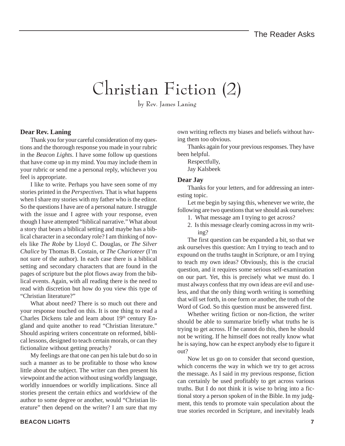### Christian Fiction (2)

by Rev. James Laning

#### **Dear Rev. Laning**

Thank you for your careful consideration of my questions and the thorough response you made in your rubric in the *Beacon Lights*. I have some follow up questions that have come up in my mind. You may include them in your rubric or send me a personal reply, whichever you feel is appropriate.

I like to write. Perhaps you have seen some of my stories printed in the *Perspectives.* That is what happens when I share my stories with my father who is the editor. So the questions I have are of a personal nature. I struggle with the issue and I agree with your response, even though I have attempted "biblical narrative." What about a story that bears a biblical setting and maybe has a biblical character in a secondary role? I am thinking of novels like *The Robe* by Lloyd C. Douglas, or *The Silver Chalice* by Thomas B. Costain, or *The Charioteer* (I'm not sure of the author). In each case there is a biblical setting and secondary characters that are found in the pages of scripture but the plot flows away from the biblical events. Again, with all reading there is the need to read with discretion but how do you view this type of "Christian literature?"

What about need? There is so much out there and your response touched on this. It is one thing to read a Charles Dickens tale and learn about 19<sup>th</sup> century England and quite another to read "Christian literature." Should aspiring writers concentrate on reformed, biblical lessons, designed to teach certain morals, or can they fictionalize without getting preachy?

My feelings are that one can pen his tale but do so in such a manner as to be profitable to those who know little about the subject. The writer can then present his viewpoint and the action without using worldly language, worldly innuendoes or worldly implications. Since all stories present the certain ethics and worldview of the author to some degree or another, would "Christian literature" then depend on the writer? I am sure that my own writing reflects my biases and beliefs without having them too obvious.

Thanks again for your previous responses. They have been helpful.

- Respectfully,
- Jay Kalsbeek

#### **Dear Jay**

Thanks for your letters, and for addressing an interesting topic.

Let me begin by saying this, whenever we write, the following are two questions that we should ask ourselves:

- 1. What message am I trying to get across?
- 2. Is this message clearly coming across in my writing?

The first question can be expanded a bit, so that we ask ourselves this question: Am I trying to teach and to expound on the truths taught in Scripture, or am I trying to teach my own ideas? Obviously, this is the crucial question, and it requires some serious self-examination on our part. Yet, this is precisely what we must do. I must always confess that my own ideas are evil and useless, and that the only thing worth writing is something that will set forth, in one form or another, the truth of the Word of God. So this question must be answered first.

Whether writing fiction or non-fiction, the writer should be able to summarize briefly what truths he is trying to get across. If he cannot do this, then he should not be writing. If he himself does not really know what he is saying, how can he expect anybody else to figure it out?

Now let us go on to consider that second question, which concerns the way in which we try to get across the message. As I said in my previous response, fiction can certainly be used profitably to get across various truths. But I do not think it is wise to bring into a fictional story a person spoken of in the Bible. In my judgment, this tends to promote vain speculation about the true stories recorded in Scripture, and inevitably leads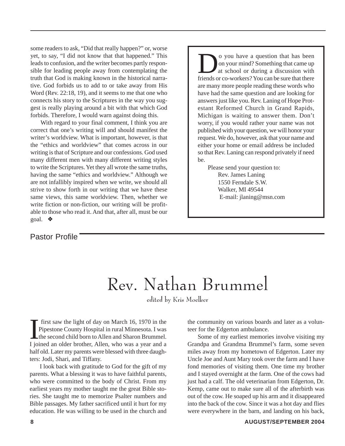some readers to ask, "Did that really happen?" or, worse yet, to say, "I did not know that that happened." This leads to confusion, and the writer becomes partly responsible for leading people away from contemplating the truth that God is making known in the historical narrative. God forbids us to add to or take away from His Word (Rev. 22:18, 19), and it seems to me that one who connects his story to the Scriptures in the way you suggest is really playing around a bit with that which God forbids. Therefore, I would warn against doing this.

With regard to your final comment, I think you are correct that one's writing will and should manifest the writer's worldview. What is important, however, is that the "ethics and worldview" that comes across in our writing is that of Scripture and our confessions. God used many different men with many different writing styles to write the Scriptures. Yet they all wrote the same truths, having the same "ethics and worldview." Although we are not infallibly inspired when we write, we should all strive to show forth in our writing that we have these same views, this same worldview. Then, whether we write fiction or non-fiction, our writing will be profitable to those who read it. And that, after all, must be our goal. ❖

O you have a question that has been<br>on your mind? Something that came up<br>at school or during a discussion with<br>friends or co-workers? You can be sure that there on your mind? Something that came up at school or during a discussion with friends or co-workers? You can be sure that there are many more people reading these words who have had the same question and are looking for answers just like you. Rev. Laning of Hope Protestant Reformed Church in Grand Rapids, Michigan is waiting to answer them. Don't worry, if you would rather your name was not published with your question, we will honor your request. We do, however, ask that your name and either your home or email address be included so that Rev. Laning can respond privately if need be.

Please send your question to: Rev. James Laning 1550 Ferndale S.W. Walker, MI 49544 E-mail: jlaning@msn.com

#### Pastor Profile

## Rev. Nathan Brummel

edited by Kris Moelker

I first saw the light of day on March 16, 1970 in the Pipestone County Hospital in rural Minnesota. I was the second child born to Allen and Sharon Brummel. I joined an older brother, Allen, who was a year and a first saw the light of day on March 16, 1970 in the Pipestone County Hospital in rural Minnesota. I was the second child born to Allen and Sharon Brummel. half old. Later my parents were blessed with three daughters: Jodi, Shari, and Tiffany.

I look back with gratitude to God for the gift of my parents. What a blessing it was to have faithful parents, who were committed to the body of Christ. From my earliest years my mother taught me the great Bible stories. She taught me to memorize Psalter numbers and Bible passages. My father sacrificed until it hurt for my education. He was willing to be used in the church and the community on various boards and later as a volunteer for the Edgerton ambulance.

Some of my earliest memories involve visiting my Grandpa and Grandma Brummel's farm, some seven miles away from my hometown of Edgerton. Later my Uncle Joe and Aunt Mary took over the farm and I have fond memories of visiting them. One time my brother and I stayed overnight at the farm. One of the cows had just had a calf. The old veterinarian from Edgerton, Dr. Kemp, came out to make sure all of the afterbirth was out of the cow. He soaped up his arm and it disappeared into the back of the cow. Since it was a hot day and flies were everywhere in the barn, and landing on his back,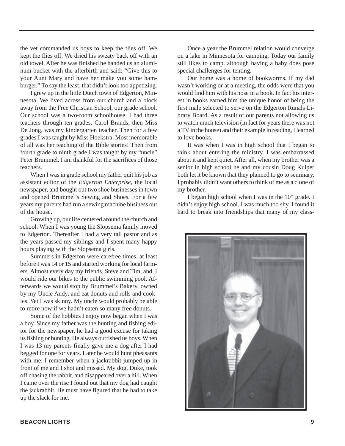the vet commanded us boys to keep the flies off. We kept the flies off. We dried his sweaty back off with an old towel. After he was finished he handed us an aluminum bucket with the afterbirth and said: "Give this to your Aunt Mary and have her make you some hamburger." To say the least, that didn't look too appetizing.

I grew up in the little Dutch town of Edgerton, Minnesota. We lived across from our church and a block away from the Free Christian School, our grade school. Our school was a two-room schoolhouse. I had three teachers through ten grades. Carol Brands, then Miss De Jong, was my kindergarten teacher. Then for a few grades I was taught by Miss Hoekstra. Most memorable of all was her teaching of the Bible stories! Then from fourth grade to ninth grade I was taught by my "uncle" Peter Brummel. I am thankful for the sacrifices of those teachers.

When I was in grade school my father quit his job as assistant editor of the *Edgerton Enterprise*, the local newspaper, and bought out two shoe businesses in town and opened Brummel's Sewing and Shoes. For a few years my parents had run a sewing machine business out of the house.

Growing up, our life centered around the church and school. When I was young the Slopsema family moved to Edgerton. Thereafter I had a very tall pastor and as the years passed my siblings and I spent many happy hours playing with the Slopsema girls.

Summers in Edgerton were carefree times, at least before I was 14 or 15 and started working for local farmers. Almost every day my friends, Steve and Tim, and I would ride our bikes to the public swimming pool. Afterwards we would stop by Brummel's Bakery, owned by my Uncle Andy, and eat donuts and rolls and cookies. Yet I was skinny. My uncle would probably be able to retire now if we hadn't eaten so many free donuts.

Some of the hobbies I enjoy now began when I was a boy. Since my father was the hunting and fishing editor for the newspaper, he had a good excuse for taking us fishing or hunting. He always outfished us boys. When I was 13 my parents finally gave me a dog after I had begged for one for years. Later he would hunt pheasants with me. I remember when a jackrabbit jumped up in front of me and I shot and missed. My dog, Duke, took off chasing the rabbit, and disappeared over a hill. When I came over the rise I found out that my dog had caught the jackrabbit. He must have figured that he had to take up the slack for me.

Once a year the Brummel relation would converge on a lake in Minnesota for camping. Today our family still likes to camp, although having a baby does pose special challenges for tenting.

Our home was a home of bookworms. If my dad wasn't working or at a meeting, the odds were that you would find him with his nose in a book. In fact his interest in books earned him the unique honor of being the first male selected to serve on the Edgerton Runals Library Board. As a result of our parents not allowing us to watch much television (in fact for years there was not a TV in the house) and their example in reading, I learned to love books.

It was when I was in high school that I began to think about entering the ministry. I was embarrassed about it and kept quiet. After all, when my brother was a senior in high school he and my cousin Doug Kuiper both let it be known that they planned to go to seminary. I probably didn't want others to think of me as a clone of my brother.

I began high school when I was in the  $10<sup>th</sup>$  grade. I didn't enjoy high school. I was much too shy. I found it hard to break into friendships that many of my class-

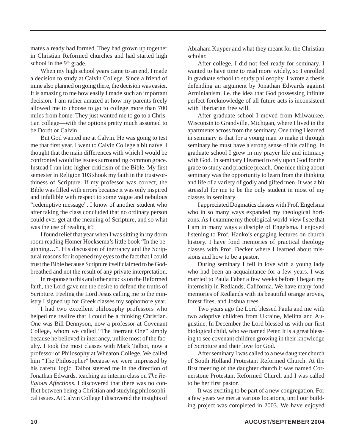mates already had formed. They had grown up together in Christian Reformed churches and had started high school in the  $9<sup>th</sup>$  grade.

When my high school years came to an end, I made a decision to study at Calvin College. Since a friend of mine also planned on going there, the decision was easier. It is amazing to me how easily I made such an important decision. I am rather amazed at how my parents freely allowed me to choose to go to college more than 700 miles from home. They just wanted me to go to a Christian college—with the options pretty much assumed to be Dordt or Calvin.

But God wanted me at Calvin. He was going to test me that first year. I went to Calvin College a bit naïve. I thought that the main differences with which I would be confronted would be issues surrounding common grace. Instead I ran into higher criticism of the Bible. My first semester in Religion 103 shook my faith in the trustworthiness of Scripture. If my professor was correct, the Bible was filled with errors because it was only inspired and infallible with respect to some vague and nebulous "redemptive message". I know of another student who after taking the class concluded that no ordinary person could ever get at the meaning of Scripture, and so what was the use of reading it?

I found relief that year when I was sitting in my dorm room reading Homer Hoeksema's little book "In the beginning…". His discussion of inerrancy and the Scriptural reasons for it opened my eyes to the fact that I could trust the Bible because Scripture itself claimed to be Godbreathed and not the result of any private interpretation.

In response to this and other attacks on the Reformed faith, the Lord gave me the desire to defend the truths of Scripture. Feeling the Lord Jesus calling me to the ministry I signed up for Greek classes my sophomore year.

I had two excellent philosophy professors who helped me realize that I could be a thinking Christian. One was Bill Dennyson, now a professor at Covenant College, whom we called "The Inerrant One" simply because he believed in inerrancy, unlike most of the faculty. I took the most classes with Mark Talbot, now a professor of Philosophy at Wheaton College. We called him "The Philosopher" because we were impressed by his careful logic. Talbot steered me in the direction of Jonathan Edwards, teaching an interim class on *The Religious Affections*. I discovered that there was no conflict between being a Christian and studying philosophical issues. At Calvin College I discovered the insights of Abraham Kuyper and what they meant for the Christian scholar.

After college, I did not feel ready for seminary. I wanted to have time to read more widely, so I enrolled in graduate school to study philosophy. I wrote a thesis defending an argument by Jonathan Edwards against Arminianism, i.e. the idea that God possessing infinite perfect foreknowledge of all future acts is inconsistent with libertarian free will.

After graduate school I moved from Milwaukee, Wisconsin to Grandville, Michigan, where I lived in the apartments across from the seminary. One thing I learned in seminary is that for a young man to make it through seminary he must have a strong sense of his calling. In graduate school I grew in my prayer life and intimacy with God. In seminary I learned to rely upon God for the grace to study and practice preach. One nice thing about seminary was the opportunity to learn from the thinking and life of a variety of godly and gifted men. It was a bit stressful for me to be the only student in most of my classes in seminary.

I appreciated Dogmatics classes with Prof. Engelsma who in so many ways expanded my theological horizons. As I examine my theological world-view I see that I am in many ways a disciple of Engelsma. I enjoyed listening to Prof. Hanko's engaging lectures on church history. I have fond memories of practical theology classes with Prof. Decker where I learned about missions and how to be a pastor.

During seminary I fell in love with a young lady who had been an acquaintance for a few years. I was married to Paula Faber a few weeks before I began my internship in Redlands, California. We have many fond memories of Redlands with its beautiful orange groves, forest fires, and Joshua trees.

Two years ago the Lord blessed Paula and me with two adoptive children from Ukraine, Melitta and Augustine. In December the Lord blessed us with our first biological child, who we named Peter. It is a great blessing to see covenant children growing in their knowledge of Scripture and their love for God.

After seminary I was called to a new daughter church of South Holland Protestant Reformed Church. At the first meeting of the daughter church it was named Cornerstone Protestant Reformed Church and I was called to be her first pastor.

It was exciting to be part of a new congregation. For a few years we met at various locations, until our building project was completed in 2003. We have enjoyed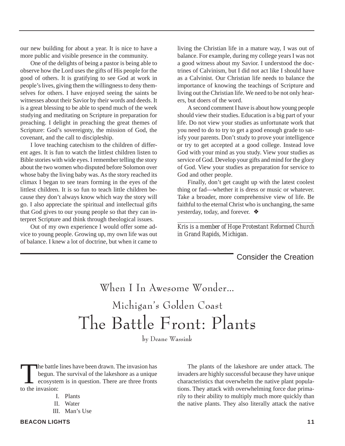our new building for about a year. It is nice to have a more public and visible presence in the community.

One of the delights of being a pastor is being able to observe how the Lord uses the gifts of His people for the good of others. It is gratifying to see God at work in people's lives, giving them the willingness to deny themselves for others. I have enjoyed seeing the saints be witnesses about their Savior by their words and deeds. It is a great blessing to be able to spend much of the week studying and meditating on Scripture in preparation for preaching. I delight in preaching the great themes of Scripture: God's sovereignty, the mission of God, the covenant, and the call to discipleship.

I love teaching catechism to the children of different ages. It is fun to watch the littlest children listen to Bible stories with wide eyes. I remember telling the story about the two women who disputed before Solomon over whose baby the living baby was. As the story reached its climax I began to see tears forming in the eyes of the littlest children. It is so fun to teach little children because they don't always know which way the story will go. I also appreciate the spiritual and intellectual gifts that God gives to our young people so that they can interpret Scripture and think through theological issues.

Out of my own experience I would offer some advice to young people. Growing up, my own life was out of balance. I knew a lot of doctrine, but when it came to

living the Christian life in a mature way, I was out of balance. For example, during my college years I was not a good witness about my Savior. I understood the doctrines of Calvinism, but I did not act like I should have as a Calvinist. Our Christian life needs to balance the importance of knowing the teachings of Scripture and living out the Christian life. We need to be not only hearers, but doers of the word.

A second comment I have is about how young people should view their studies. Education is a big part of your life. Do not view your studies as unfortunate work that you need to do to try to get a good enough grade to satisfy your parents. Don't study to prove your intelligence or try to get accepted at a good college. Instead love God with your mind as you study. View your studies as service of God. Develop your gifts and mind for the glory of God. View your studies as preparation for service to God and other people.

Finally, don't get caught up with the latest coolest thing or fad—whether it is dress or music or whatever. Take a broader, more comprehensive view of life. Be faithful to the eternal Christ who is unchanging, the same yesterday, today, and forever. ❖

*\_\_\_\_\_\_\_\_\_\_\_\_\_\_\_\_\_\_\_\_\_\_\_\_\_\_\_\_\_\_\_\_\_\_\_\_\_\_\_\_\_\_\_\_\_\_\_\_\_\_\_\_ Kris is a member of Hope Protestant Reformed Church in Grand Rapids, Michigan.*

Consider the Creation

### When I In Awesome Wonder… Michigan's Golden Coast The Battle Front: Plants

by Deane Wassink

The battle lines have been drawn. The invasion has<br>begun. The survival of the lakeshore as a unique<br>ecosystem is in question. There are three fronts<br>to the invasion: begun. The survival of the lakeshore as a unique ecosystem is in question. There are three fronts to the invasion:

- I. Plants
- II. Water
- III. Man's Use

The plants of the lakeshore are under attack. The invaders are highly successful because they have unique characteristics that overwhelm the native plant populations. They attack with overwhelming force due primarily to their ability to multiply much more quickly than the native plants. They also literally attack the native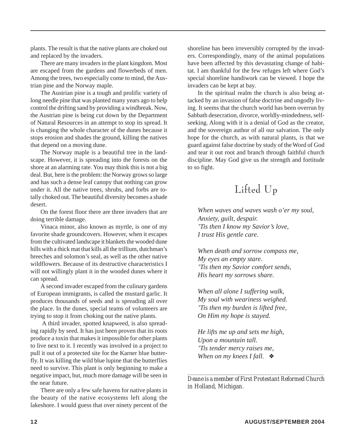plants. The result is that the native plants are choked out and replaced by the invaders.

There are many invaders in the plant kingdom. Most are escaped from the gardens and flowerbeds of men. Among the trees, two especially come to mind, the Austrian pine and the Norway maple.

The Austrian pine is a tough and prolific variety of long needle pine that was planted many years ago to help control the drifting sand by providing a windbreak. Now, the Austrian pine is being cut down by the Department of Natural Resources in an attempt to stop its spread. It is changing the whole character of the dunes because it stops erosion and shades the ground, killing the natives that depend on a moving dune.

The Norway maple is a beautiful tree in the landscape. However, it is spreading into the forests on the shore at an alarming rate. You may think this is not a big deal. But, here is the problem: the Norway grows so large and has such a dense leaf canopy that nothing can grow under it. All the native trees, shrubs, and forbs are totally choked out. The beautiful diversity becomes a shade desert.

On the forest floor there are three invaders that are doing terrible damage.

Vinaca minor, also known as myrtle, is one of my favorite shade groundcovers. However, when it escapes from the cultivated landscape it blankets the wooded dune hills with a thick mat that kills all the trillium, dutchman's breeches and solomon's seal, as well as the other native wildflowers. Because of its destructive characteristics I will not willingly plant it in the wooded dunes where it can spread.

A second invader escaped from the culinary gardens of European immigrants, is called the mustard garlic. It produces thousands of seeds and is spreading all over the place. In the dunes, special teams of volunteers are trying to stop it from choking out the native plants.

 A third invader, spotted knapweed, is also spreading rapidly by seed. It has just been proven that its roots produce a toxin that makes it impossible for other plants to live next to it. I recently was involved in a project to pull it out of a protected site for the Karner blue butterfly. It was killing the wild blue lupine that the butterflies need to survive. This plant is only beginning to make a negative impact, but, much more damage will be seen in the near future.

There are only a few safe havens for native plants in the beauty of the native ecosystems left along the lakeshore. I would guess that over ninety percent of the

shoreline has been irreversibly corrupted by the invaders. Correspondingly, many of the animal populations have been affected by this devastating change of habitat. I am thankful for the few refuges left where God's special shoreline handiwork can be viewed. I hope the invaders can be kept at bay.

In the spiritual realm the church is also being attacked by an invasion of false doctrine and ungodly living. It seems that the church world has been overrun by Sabbath desecration, divorce, worldly-mindedness, selfseeking. Along with it is a denial of God as the creator, and the sovereign author of all our salvation. The only hope for the church, as with natural plants, is that we guard against false doctrine by study of the Word of God and tear it out root and branch through faithful church discipline. May God give us the strength and fortitude to so fight.

### Lifted Up

*When waves and waves wash o'er my soul, Anxiety, guilt, despair. 'Tis then I know my Savior's love, I trust His gentle care.*

*When death and sorrow compass me, My eyes an empty stare. 'Tis then my Savior comfort sends, His heart my sorrows share.*

*When all alone I suffering walk, My soul with weariness weighed. 'Tis then my burden is lifted free, On Him my hope is stayed.*

*He lifts me up and sets me high, Upon a mountain tall. 'Tis tender mercy raises me, When on my knees I fall.* ❖

*\_\_\_\_\_\_\_\_\_\_\_\_\_\_\_\_\_\_\_\_\_\_\_\_\_\_\_\_\_\_\_\_\_\_\_\_\_\_\_\_\_\_\_\_\_\_ Deane is a member of First Protestant Reformed Church in Holland, Michigan.*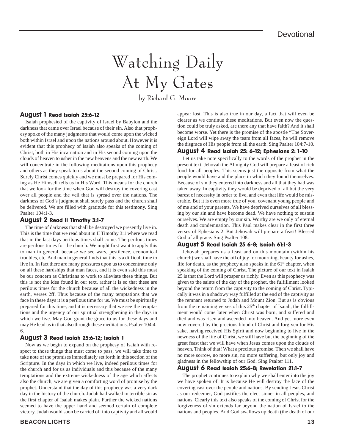## Watching Daily At My Gates

by Richard G. Moore

#### August 1 Read Isaiah 25:6-12

Isaiah prophesied of the captivity of Israel by Babylon and the darkness that came over Israel because of their sin. Also that prophesy spoke of the many judgments that would come upon the wicked both within Israel and upon the nations around about. However it is evident that this prophecy of Isaiah also speaks of the coming of Christ, both in His incarnation and in His second coming upon the clouds of heaven to usher in the new heavens and the new earth. We will concentrate in the following meditations upon this prophecy and others as they speak to us about the second coming of Christ. Surely Christ comes quickly and we must be prepared for His coming as He Himself tells us in His Word. This means for the church that we look for the time when God will destroy the covering cast over all people and the veil that is spread over the nations. The darkness of God's judgment shall surely pass and the church shall be delivered. We are filled with gratitude for this testimony. Sing Psalter 104:1-3.

#### August 2 Read II Timothy 3:1-7

The time of darkness that shall be destroyed we presently live in. This is the time that we read about in II Timothy 3:1 where we read that in the last days perilous times shall come. The perilous times are perilous times for the church. We might first want to apply this to man in general, because we see wars, pestilence, economical troubles, etc. And man in general finds that this is a difficult time to live in. In fact there are many pressures upon us to concentrate only on all these hardships that man faces, and it is even said this must be our concern as Christians to work to alleviate these things. But this is not the idea found in our text, rather it is so that these are perilous times for the church because of all the wickedness in the earth, verses 2ff. Thus because of the many temptations that we face in these days it is a perilous time for us. We must be spiritually prepared for this time, and it is necessary that we see the temptations and the urgency of our spiritual strengthening in the days in which we live. May God grant the grace to us for these days and may He lead us in that also through these meditations. Psalter 104:4- 6.

#### August 3 Read Isaiah 25:6-12; Isaiah 1

Now as we begin to expand on the prophesy of Isaiah with respect to those things that must come to pass, we will take time to take note of the promises immediately set forth in this section of the Scripture. In the days in which we live, indeed perilous times for the church and for us as individuals and this because of the many temptations and the extreme wickedness of the age which affects also the church, we are given a comforting word of promise by the prophet. Understand that the day of this prophecy was a very dark day in the history of the church. Judah had walked in terrible sin as the first chapter of Isaiah makes plain. Further the wicked nations seemed to have the upper hand and seemed certain of complete victory. Judah would soon be carried off into captivity and all would

appear lost. This is also true in our day, a fact that will even be clearer as we continue these meditations. But even now the question could be truly asked, are there any that have faith? And it shall become worse. Yet there is the promise of the apostle "The Sovereign Lord will wipe away the tears from all faces, he will remove the disgrace of His people from all the earth. Sing Psalter 104:7-10.

#### August 4 Read Isaiah 25: 6-12; Ephesians 2: 1-10

Let us take note specifically to the words of the prophet in the present text. Jehovah the Almighty God will prepare a feast of rich food for all peoples. This seems just the opposite from what the people would have and the place in which they found themselves. Because of sin they entered into darkness and all that they had was taken away. In captivity they would be deprived of all but the very barest of necessity in order to live, and even that life would be miserable. But it is even more true of you, covenant young people and of me and of your parents. We have deprived ourselves of all blessing by our sin and have become dead. We have nothing to sustain ourselves. We are empty by our sin. Worthy are we only of eternal death and condemnation. This Paul makes clear in the first three verses of Ephesians 2. But Jehovah will prepare a feast! Blessed God of all grace. Sing Psalter 108.

#### August 5 Read Isaiah 25 6-8; Isaiah 61:1-3

Jehovah prepares us a feast and on this mountain (within his church) we shall have the oil of joy for mourning, beauty for ashes, life for death, as the prophecy also speaks in the  $61<sup>st</sup>$  chapter, when speaking of the coming of Christ. The picture of our text in Isaiah 25 is that the Lord will prosper us richly. Even as this prophecy was given to the saints of the day of the prophet, the fulfillment looked beyond the return from the captivity to the coming of Christ. Typically it was in a shadowy way fulfilled at the end of the captivity as the remnant returned to Judah and Mount Zion. But as is obvious from the remaining verses of this  $25<sup>th</sup>$  chapter of Isaiah, the fulfillment would come later when Christ was born, and suffered and died and was risen and ascended into heaven. And yet more even now covered by the precious blood of Christ and forgiven for His sake, having received His Spirit and now beginning to live in the newness of the life of Christ, we still have but the beginning of the great feast that we will have when Jesus comes upon the clouds of heaven. Think of that! What a precious promise. Then we shall have no more sorrow, no more sin, no more suffering, but only joy and gladness in the fellowship of our God. Sing Psalter 111.

#### August 6 Read Isaiah 25:6-8; Revelation 21:1-7

The prophet continues to explain why we shall enter into the joy we have spoken of. It is because He will destroy the face of the covering cast over the people and nations. By sending Jesus Christ as our redeemer, God justifies the elect sinner in all peoples, and nations. Clearly this text also speaks of the coming of Christ for the forgiveness of sin extends far beyond the nation of Israel to the nations and peoples. And God swallows up death (the death of our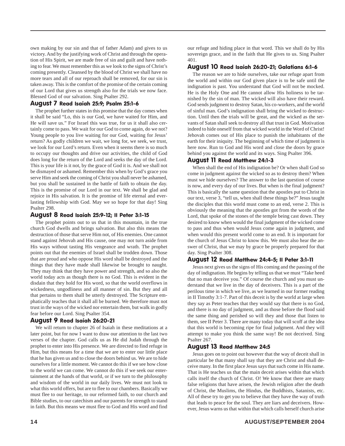own making by our sin and that of father Adam) and gives to us victory. And by the justifying work of Christ and through the operation of His Spirit, we are made free of sin and guilt and have nothing to fear. We must remember this as we look to the signs of Christ's coming presently. Cleansed by the blood of Christ we shall have no more tears and all of our reproach shall be removed, for our sin is taken away. This is the comfort of the promise of the certain coming of our Lord that gives us strength also for the trials we now face. Blessed God of our salvation. Sing Psalter 292.

#### August 7 Read Isaiah 25:9; Psalm 25:1-6

The prophet further states in this promise that the day comes when it shall be said "Lo, this is our God, we have waited for Him, and He will save us." For Israel this was true, for us it shall also certainly come to pass. We wait for our God to come again, do we not? Young people to you live waiting for our God, waiting for Jesus' return? As godly children we wait, we long for, we seek, we trust, we look for our Lord's return. Even when it seems there is so much to occupy our thoughts and drive our activities, the child of God does long for the return of the Lord and seeks the day of the Lord. This is your life is it not, by the grace of God it is. And we shall not be dismayed or ashamed. Remember this when by God's grace you serve Him and seek the coming of Christ you shall never be ashamed, but you shall be sustained in the battle of faith to obtain the day. This is the promise of our Lord in our text. We shall be glad and rejoice in His salvation. It is the promise of life eternal and everlasting fellowship with God. May we so hope for that day! Sing Psalter 298.

#### August 8 Read Isaiah 25:9-12; II Peter 3:1-15

The prophet points out to us that in this mountain, in the true church God dwells and brings salvation. But also this means the destruction of those that serve Him not, of His enemies. One cannot stand against Jehovah and His cause, one may not turn aside from His ways without tasting His vengeance and wrath. The prophet points out that the enemies of Israel shall be trodden down. Those that are proud and who oppose His word shall be destroyed and the things that they have made shall likewise be brought to naught. They may think that they have power and strength, and so also the world today acts as though there is no God. This is evident in the disdain that they hold for His word, so that the world overflows in wickedness, ungodliness and all manner of sin. But they and all that pertains to them shall be utterly destroyed. The Scripture emphatically teaches that it shall all be burned. We therefore must not trust in the ways of the wicked nor entertain them, but walk in godly fear before our Lord. Sing Psalter 354.

#### August 9 Read Isaiah 26:20-21

We will return to chapter 26 of Isaiah in these meditations at a later point, but for now I want to draw our attention to the last two verses of the chapter. God calls us as He did Judah through the prophet to enter into His presence. We are directed to find refuge in Him, but this means for a time that we are to enter our little place that he has given us and to close the doors behind us. We are to hide ourselves for a little moment. We cannot do this if we see how close to the world we can come. We cannot do this if we seek our entertainment at the hands of that world, or if we turn to the philosophy and wisdom of the world in our daily lives. We must not look to what this world offers, but are to flee to our chambers. Basically we must flee to our heritage, to our reformed faith, to our church and Bible studies, to our catechism and our parents for strength to stand in faith. But this means we must flee to God and His word and find

our refuge and hiding place in that word. This we shall do by His sovereign grace, and in the faith that He gives to us. Sing Psalter 401.

#### August 10 Read Isaiah 26:20-21; Galatians 6:1-6

The reason we are to hide ourselves, take our refuge apart from the world and within our God given place is to be safe until the indignation is past. You understand that God will not be mocked. He is the Holy One and He cannot allow His holiness to be tarnished by the sin of man. The wicked will also have their reward. God sends judgment to destroy Satan, his co-workers, and the world of sinful man. God's indignation shall bring the wicked to destruction. Until then the trials will be great, and the wicked as the servants of Satan shall seek to destroy all that trust in God. Motivation indeed to hide oneself from that wicked world in the Word of Christ! Jehovah comes out of His place to punish the inhabitants of the earth for their iniquity. The beginning of which time of judgment is here now. Run to God and His word and close the doors by grace behind you against the world and its ways. Sing Psalter 396.

#### August 11 Read Matthew 24:1-3

When shall the end of His indignation be? Or when shall God so come in judgment against the wicked so as to destroy them? When must we hide ourselves? The answer to the last question of course is now, and every day of our lives. But when is the final judgment? This is basically the same question that the apostles put to Christ in our text, verse 3, "tell us, when shall these things be?" Jesus taught the disciples that this world must come to an end, verse 2. This is obviously the meaning that the apostles got from the words of the Lord, that spoke of the stones of the temple being cast down. They desired to know when would the final judgment of the wicked come to pass and thus when would Jesus come again in judgment, and when would this present world come to an end. It is important for the church of Jesus Christ to know this. We must also hear the answer of Christ, that we may by grace be properly prepared for that day. Sing Psalter 308.

#### August 12 Read Matthew 24:4-5; II Peter 3:1-11

Jesus next gives us the signs of His coming and the passing of the day of indignation. He begins by telling us that we must "Take heed that no man deceive you." Of course the church and you must understand that we live in the day of deceivers. This is a part of the perilous time in which we live, as we learned in our former reading in II Timothy 3:1-7. Part of this deceit is by the world at large when they say as Peter teaches that they would say that there is no God, and there is no day of judgment, and as those before the flood said the same thing and perished so will they and those that listen to them, see II Peter 3. There are many today that will scoff at the idea that this world is becoming ripe for final judgment. And they will attempt to make you think the same way! Be not deceived. Sing Psalter 267.

#### August 13 Read Matthew 24:5

Jesus goes on to point out however that the way of deceit shall in particular be that many shall say that they are Christ and shall deceive many. In the first place Jesus says that such come in His name. That is He teaches us that the main deceit arises within that which calls itself the church of Christ. O! We know that there are many false religions that have arisen, the Jewish religion after the death of Christ, the Muslims, the Hindus, the Buddhists, Satanists, etc. All of these try to get you to believe that they have the way of truth that leads to peace for the soul. They are liars and deceivers. However, Jesus warns us that within that which calls herself church arise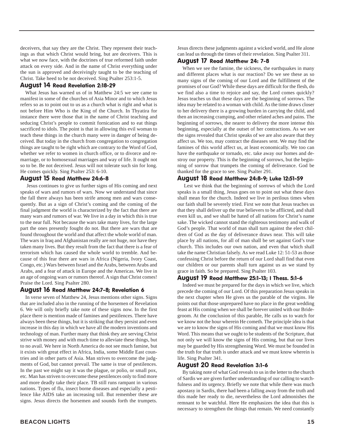deceivers, that say they are the Christ. They represent their teachings as that which Christ would bring, but are deceivers. This is what we now face, with the doctrines of true reformed faith under attack on every side. And in the name of Christ everything under the sun is approved and deceivingly taught to be the teaching of Christ. Take heed to be not deceived. Sing Psalter 253:1-5.

#### August 14 Read Revelation 2:18-29

What Jesus has warned us of in Matthew 24:5 we see came to manifest in some of the churches of Asia Minor and to which Jesus refers so as to point out to us as a church what is right and what is not before Him Who is the King of the Church. In Thyatira for instance there were those that in the name of Christ teaching and seducing Christ's people to commit fornication and to eat things sacrificed to idols. The point is that in allowing this evil woman to teach these things in the church many were in danger of being deceived. But today in the church from congregation to congregation things are taught to be right which are contrary to the Word of God, whether we refer to women in church office, or to divorce and remarriage, or to homosexual marriages and way of life. It ought not so to be. Be not deceived. Jesus will not tolerate such sin for long. He comes quickly. Sing Psalter 253: 6-10.

#### August 15 Read Matthew 24:6-8

 Jesus continues to give us further signs of His coming and next speaks of wars and rumors of wars. Now we understand that since the fall there always has been strife among men and wars consequently. But as a sign of Christ's coming and the coming of the final judgment the world is characterized by the fact that there are many wars and rumors of war. We live in a day in which this is true to the near full. Not because the wars take many lives, for the large part the ones presently fought do not. But there are wars that are found throughout the world and that affect the whole world of man. The wars in Iraq and Afghanistan really are not huge, nor have they taken many lives. But they result from the fact that there is a fear of terrorism which has caused the whole world to tremble. And because of this fear there are wars in Africa (Nigeria, Ivory Coast, Congo, etc.) Wars between Israel and the Arabs, between Arabs and Arabs, and a fear of attack in Europe and the Americas. We live in an age of ongoing wars or rumors thereof. A sign that Christ comes! Praise the Lord. Sing Psalter 280.

#### August 16 Read Matthew 24:7-8; Revelation 6

In verse seven of Matthew 24, Jesus mentions other signs. Signs that are included also in the running of the horsemen of Revelation 6. We will only briefly take note of these signs now. In the first place there is mention made of famines and pestilences. There have always been these things, but it is striking that they persist and even increase in this day in which we have all the modern inventions and technology of man. Further many that think they are serving Christ strive with money and with much time to alleviate these things, but to no avail. We here in North America do not see much famine, but it exists with great effect in Africa, India, some Middle East countries and in other parts of Asia. Man strives to overcome the judgments of God, but cannot prevail. The same is true of pestilences. In the past we might say it was the plague, or polio, or small pox, etc. Man has striven to overcome these pestilences only to find more and more deadly take their place. TB still runs rampant in various nations. Types of flu, insect borne diseases and especially a pestilence like AIDS take an increasing toll. But remember these are signs. Jesus directs the horsemen and sounds forth the trumpets.

Jesus directs these judgments against a wicked world, and He alone can lead us through the times of their revelation. Sing Psalter 311.

#### August 17 Read Matthew 24: 7-8

When we see the famine, the sickness, the earthquakes in many and different places what is our reaction? Do we see these as so many signs of the coming of our Lord and the fulfillment of the promises of our God? While these days are difficult for the flesh, do we find also a time to rejoice and say, the Lord comes quickly? Jesus teaches us that these days are the beginning of sorrows. The idea may be related to a woman with child. As the time draws closer to her delivery there is a growing burden in carrying the child, and then an increasing cramping, and other related aches and pains. The beginning of sorrows, the nearer to delivery the more intense this beginning, especially at the outset of her contractions. As we see the signs revealed that Christ speaks of we are also aware that they affect us. We too, may contract the diseases sent. We may find the famines of this world affect us, at least economically. We too can have the earthquake or tornado, etc. take away our homes and destroy our property. This is the beginning of sorrows, but the beginning of sorrow that trumpets the coming of deliverance. God be thanked for the grace to see. Sing Psalter 291.

#### August 18 Read Matthew 24:8-9; Luke 12:51-59

 Lest we think that the beginning of sorrows of which the Lord speaks is a small thing, Jesus goes on to point out what these days shall mean for the church. Indeed we live in perilous times when our faith shall be severely tried. First we note that Jesus teaches us that they shall deliver up the true believers to be afflicted, and shall even kill us, and we shall be hated of all nations for Christ's name sake. The wicked cannot stand the righteous testimony and walk of God's people. That world of man shall turn against the elect children of God as the day of deliverance draws near. This will take place by all nations, for all of man shall be set against God's true church. This includes our own nation, and even that which shall take the name Christian falsely. As we read Luke 12: 51-53 as those confessing Christ before the return of our Lord shall find that even our children or our parents shall turn against us as we stand by grace in faith. So be prepared. Sing Psalter 103.

#### August 19 Read Matthew 25:1-13; I Thess. 5:1-6

Indeed we must be prepared for the days in which we live, which precede the coming of our Lord. Of this preparation Jesus speaks in the next chapter when He gives us the parable of the virgins. He points out that those unprepared have no place in the great wedding feast at His coming when we shall be forever united with our Bridegroom. At the conclusion of this parable, He calls us to watch for we know not the hour wherein He cometh. The principle idea is that we are to know the signs of His coming and that we must know His Word. This means that we ought to be students of the Scripture, that not only we will know the signs of His coming, but that our lives may be guarded by His strengthening Word. We must be founded in the truth for that truth is under attack and we must know wherein is life. Sing Psalter 341.

#### August 20 Read Revelation 3:1-6

By taking note of what God reveals to us in the letter to the church of Sardis we are given further understanding of our calling to watchfulness and its urgency. Briefly we note that while there was much apostasy in Sardis, there had been a falling away from the truth and this made her ready to die, nevertheless the Lord admonishes the remnant to be watchful. Here He emphasizes the idea that this is necessary to strengthen the things that remain. We need constantly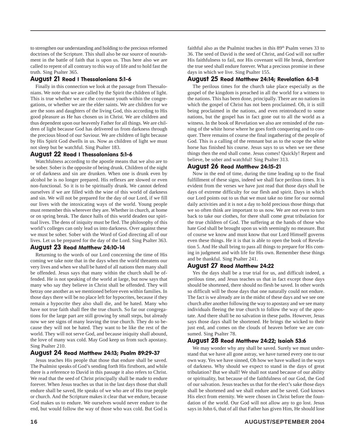to strengthen our understanding and holding to the precious reformed doctrines of the Scripture. This shall also be our source of nourishment in the battle of faith that is upon us. Thus here also we are called to repent of all contrary to this way of life and to hold fast the truth. Sing Psalter 365.

#### August 21 Read I Thessalonians 5:1-6

Finally in this connection we look at the passage from Thessalonians. We note that we are called by the Spirit the children of light. This is true whether we are the covenant youth within the congregations, or whether we are the elder saints. We are children for we are the sons and daughters of the living God, this according to His good pleasure as He has chosen us in Christ. We are children and thus dependent upon our heavenly Father for all things. We are children of light because God has delivered us from darkness through the precious blood of our Saviour. We are children of light because by His Spirit God dwells in us. Now as children of light we must not sleep but be watchful. Sing Psalter 183.

#### August 22 Read I Thessalonians 5:1-6

Watchfulness according to the apostle means that we also are to be sober. Sober is the opposite of being drunk. Children of the night or of darkness and sin are drunken. When one is drunk even by alcohol he is no longer prepared. His reflexes are slowed or even non-functional. So it is to be spiritually drunk. We cannot defend ourselves if we are filled with the wine of this world of darkness and sin. We will not be prepared for the day of our Lord, if we fill our lives with the intoxicating ways of the world. Young people must remember this wherever they are. Whether in church, at home or on spring break. The dance halls of this world deaden our spiritual lives. The dens of iniquity must be fled. The philosophy of this world's colleges can only lead us into darkness. Over against these we must be sober. Sober with the Word of God directing all of our lives. Let us be prepared for the day of the Lord. Sing Psalter 363.

#### August 23 Read Matthew 24:10-14

Returning to the words of our Lord concerning the time of His coming we take note that in the days when the world threatens our very lives and when we shall be hated of all nations then many shall be offended. Jesus says that many within the church shall be offended. He is not speaking of the world at large, but now says that many who say they believe in Christ shall be offended. They will betray one another as we mentioned before even within families. In those days there will be no place left for hypocrites, because if they remain a hypocrite they also shall die, and be hated. Many who have not true faith shall flee the true church. So far our congregations for the large part are still growing by small steps, but already now we see signs of many leaving the true church. They do so because they will not be hated. They want to be like the rest of the world. They will not serve God, and because iniquity shall abound, the love of many wax cold. May God keep us from such apostasy. Sing Psalter 210.

#### August 24 Read Matthew 24:13; Psalm 89:29-37

Jesus teaches His people that those that endure shall be saved. The Psalmist speaks of God's sending forth His firstborn, and while there is a reference to David in this passage it also refers to Christ. We read that the seed of Christ principally shall be made to endure forever. When Jesus teaches us that in the last days those that shall endure shall be saved, He speaks of we who are of His true people or church. And the Scripture makes it clear that we endure, because God makes us to endure. We ourselves would never endure to the end, but would follow the way of those who wax cold. But God is faithful also as the Psalmist teaches in this  $89<sup>th</sup>$  Psalm verses 33 to 36. The seed of David is the seed of Christ, and God will not suffer His faithfulness to fail, nor His covenant will He break, therefore the true seed shall endure forever. What a precious promise in these days in which we live. Sing Psalter 155.

#### August 25 Read Matthew 24:14; Revelation 6:1-8

The perilous times for the church take place especially as the gospel of the kingdom is preached in all the world for a witness to the nations. This has been done, principally. There are no nations in which the gospel of Christ has not been proclaimed. Oh, it is still being proclaimed in the nations, and even reintroduced to some nations, but the gospel has in fact gone out to all the world as a witness. In the book of Revelation we also are reminded of the running of the white horse where he goes forth conquering and to conquer. There remains of course the final ingathering of the people of God. This is a calling of the remnant but as to the scope the white horse has finished his course. Jesus says to us when we see these things then the end shall come. Jesus comes! Quickly! Repent and believe, be sober and watchful! Sing Psalter 313.

#### August 26 Read Matthew 24:15-21

Now in the end of time, during the time leading up to the final fulfillment of these signs, indeed we shall face perilous times. It is evident from the verses we have just read that those days shall be days of extreme difficulty for our flesh and spirit. Days in which our Lord points out to us that we must take no time for our normal daily activities and it is not a day to hold precious those things that we so often think are important to us now. We are not even to turn back to take our clothes, for there shall come great tribulation for the true children of God. The suffering at the hands of those who hate God shall be brought upon us with seemingly no measure. But of course we know and must know that our Lord Himself governs even these things. He it is that is able to open the book of Revelation 5. And He shall bring to pass all things to prepare for His coming in judgment and with life for His own. Remember these things and be thankful. Sing Psalter 241.

#### August 27 Read Matthew 24:22

Yes the days shall be a true trial for us, and difficult indeed, a perilous time, and Jesus teaches us that in fact except those days should be shortened, there should no flesh be saved. In other words so difficult will be those days that one naturally could not endure. The fact is we already are in the midst of these days and we see one church after another following the way to apostasy and we see many individuals fleeing the true church to follow the way of the apostate. And there shall be no salvation in these paths. However, Jesus says those days shall be shortened. He brings the wicked to their just end, and comes on the clouds of heaven before we are consumed. Sing Psalter 78.

#### August 28 Read Matthew 24:22; Isaiah 53:6

We may wonder why any shall be saved. Surely we must understand that we have all gone astray, we have turned every one to our own way. Yes we have sinned, Oh how we have walked in the ways of darkness. Why should we expect to stand in the days of great tribulation? But we shall! We shall not stand because of our ability or spirituality, but because of the faithfulness of our God, the God of our salvation. Jesus teaches us that for the elect's sake those days shall be shortened and we shall endure and be saved. God knows His elect from eternity. We were chosen in Christ before the foundation of the world. Our God will not allow any to go lost. Jesus says in John 6, that of all that Father has given Him, He should lose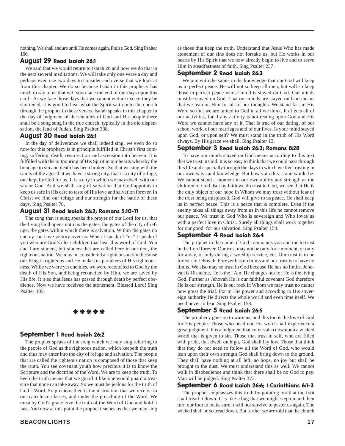nothing. We shall endure until He comes again. Praise God. Sing Psalter 166.

#### August 29 Read Isaiah 26:1

We said that we would return to Isaiah 26 and now we do that in the next several meditations. We will take only one verse a day and perhaps even use two days to consider each verse that we look at from this chapter. We do so because Isaiah in this prophecy has much to say to us that will soon face the end of our days upon this earth. As we face those days that we cannot endure except they be shortened, it is good to hear what the Spirit saith unto the church through the prophet in these verses. Isaiah speaks in this chapter in the day of judgment of the enemies of God and His people there shall be a song sung in the true church, typically in the old dispensation, the land of Judah. Sing Psalter 338.

#### August 30 Read Isaiah 26:1

In the day of deliverance we shall indeed sing, we even do so now for this prophecy is in principle fulfilled in Christ's first coming, suffering, death, resurrection and ascension into heaven. It is fulfilled with the outpouring of His Spirit in our hearts whereby the bondage to sin and death has been broken. So that we sing with the saints of the ages that we have a strong city, that is a city of refuge, one kept by God for us. It is a city in which we may dwell with our savior God. And we shall sing of salvation that God appoints to keep us safe in His care to taste of His love and salvation forever. In Christ we find our refuge and our strength for the battle of these days. Sing Psalter 78.

#### August 31 Read Isaiah 26:2; Romans 5:10-11

The song that is sung speaks the prayer of our Lord for us, that the living God opens unto us the gates, the gates of the city of refuge, the gates within which there is salvation. Within the gates no enemy can have victory over us. When I speak of "us" I speak of you who are God's elect children that hear this word of God. You and I are sinners, but sinners that are called here in our text, the righteous nation. We may be considered a righteous nation because our King is righteous and He makes us partakers of His righteousness. While we were yet enemies, we were reconciled to God by the death of His Son, and being reconciled by Him, we are saved by His life. It is so that Jesus has passed through death by perfect obedience. Now we have received the atonement. Blessed Lord! Sing Psalter 303.



#### September 1 Read Isaiah 26:2

The prophet speaks of the song which we may sing referring to the people of God as the righteous nation, which keepeth the truth and thus may enter into the city of refuge and salvation. The people that are called the righteous nation is composed of those that keep the truth. You see covenant youth how precious it is to know the Scripture and the doctrine of the Word. We are to keep the truth. To keep the truth means that we guard it like one would guard a treasure that none can take away. So we must be jealous for the truth of God's Word. So precious then is the instruction that we receive in our catechism classes, and under the preaching of the Word. We must by God's grace love the truth of the Word of God and hold it fast. And now at this point the prophet teaches us that we may sing

as those that keep the truth. Understand that Jesus Who has made atonement of our sins does not forsake us, but He works in our hearts by His Spirit that we now already begin to live and to serve Him in steadfastness of faith. Sing Psalter 237.

#### September 2 Read Isaiah 26:3

We join with the saints in the knowledge that our God will keep us in perfect peace. He will not so keep all men, but will so keep those in perfect peace whose mind is stayed on God. Our minds must be stayed on God. That our minds are stayed on God means that we lean on Him for all of our thoughts. We stand fast in His Word so that we are united to God in all we think. It affects all of our activities, for if any activity is not resting upon God and His Word we cannot have any of it. That is true of our dating, of our school work, of our marriages and of our lives. Is your mind stayed upon God, or upon self? We must stand in the truth of His Word always. By His grace we shall. Sing Psalter 13.

#### September 3 Read Isaiah 26:3; Romans 8:28

To have our minds stayed on God means according to this text that we trust in God. It is so easy to think that we could pass through this life and especially through the days in which we live trusting in our own ways and knowledge. But how vain this is and would be. We cannot stand a moment in our own ability and strength as the children of God. But by faith we do trust in God, we see that He is the only object of our hope in Whom we may trust without fear of the trust being misplaced. God will give to us peace. He shall keep us in perfect peace. This is a peace that is complete. Even if the enemy takes all things away from us in this life he cannot remove our peace. We trust in God Who is sovereign and Who loves us with a perfect love in Christ. Surely all things shall work together for our good, for our salvation. Sing Psalter 154.

#### September 4 Read Isaiah 26:4

The prophet in the name of God commands you and me to trust in the Lord forever. Our trust may not be only for a moment, or only for a day, or only during a worship service, etc. Our trust is to be forever in Jehovah. Forever has no limits and our trust is to have no limits. We also may so trust in God because He has no limits. Jehovah is His name, He is the I Am. He changes not for He is the living God. Further as Jehovah He is our faithful covenant God therefore He is our strength. He is our rock in Whom we may trust no matter how great the trial. For in His power and according to His sovereign authority He directs the whole world and even time itself. We need never to fear. Sing Psalter 153.

#### September 5 Read Isaiah 26:5

The prophecy goes on to warn us, and this too is the love of God for His people. Those who heed not His word shall experience a great judgment. It is a judgment that comes also now upon a wicked world that is given to sin. Those that trust in self, who are filled with pride, that dwell on high, God shall lay low. Those that think that they do not need to follow all the Word of God, who would lean upon their own strength God shall bring down to the ground. They shall have nothing at all left, no hope, no joy but shall be brought to the dust. We must understand this as well. We cannot walk in disobedience and think that there shall be no God to pay. Man will be judged. Sing Psalter 373.

#### September 6 Read Isaiah 26:6; I Corinthians 6:1-3

The prophet emphasizes this truth by pointing out that the foot shall tread it down. It is like a bug that we might step on and then turn our foot to make sure it will not survive to pester us again. The wicked shall be so tread down. But further we are told that the church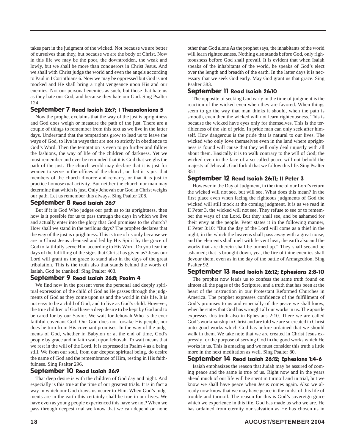takes part in the judgment of the wicked. Not because we are better of ourselves than they, but because we are the body of Christ. Now in this life we may be the poor, the downtrodden, the weak and lowly, but we shall be more than conquerors in Christ Jesus. And we shall with Christ judge the world and even the angels according to Paul in I Corinthians 6. Now we may be oppressed but God is not mocked and He shall bring a right vengeance upon His and our enemies. Not our personal enemies as such, but those that hate us as they hate our God, and because they hate our God. Sing Psalter 124.

#### September 7 Read Isaiah 26:7; I Thessalonians 5

Now the prophet exclaims that the way of the just is uprightness and God does weigh or measure the path of the just. There are a couple of things to remember from this text as we live in the latter days. Understand that the temptations grow to lead us to leave the ways of God, to live in ways that are not so strictly in obedience to God's Word. Then the temptation is even to go further and follow the fashions, the way of life of the children of darkness. Yet we must remember and ever be reminded that it is God that weighs the path of the just. The church world may declare that it is just for women to serve in the offices of the church, or that it is just that members of the church divorce and remarry, or that it is just to practice homosexual activity. But neither the church nor man may determine that which is just. Only Jehovah our God in Christ weighs our path. Let us remember this always. Sing Psalter 208.

#### September 8 Read Isaiah 26:7

But if it is God Who judges our path as to its uprightness, then how is it possible for us to pass through the days in which we live and actually enter into the glory that God promises to the church? How shall we stand in the perilous days? The prophet declares that the way of the just is uprightness. This is true of us only because we are in Christ Jesus cleansed and led by His Spirit by the grace of God to faithfully serve Him according to His Word. Do you fear the days of the fulfilling of the signs that Christ has given us? Jesus our Lord will grant us the grace to stand also in the days of the great tribulation. This is the truth also that stands behind the words of Isaiah. God be thanked! Sing Psalter 403.

#### September 9 Read Isaiah 26:8; Psalm 4

We find now in the present verse the personal and deeply spiritual expression of the child of God as He passes through the judgments of God as they come upon us and the world in this life. It is not easy to be a child of God, and to live as God's child. However, the true children of God have a deep desire to be kept by God and to be cared for by our Savior. We wait for Jehovah Who is the ever faithful covenant God. Our God does not forsake His people, nor does he turn from His covenant promises. In the way of the judgments of God, whether in Babylon or at the end of time, God's people by grace and in faith wait upon Jehovah. To wait means that we rest in the will of the Lord. It is expressed in Psalm 4 as a being still. We from our soul, from our deepest spiritual being, do desire the name of God and the remembrance of Him, resting in His faithfulness. Sing Psalter 296.

#### September 10 Read Isaiah 26:9

That deep desire is with the children of God day and night. And especially is this true at the time of our greatest trials. It is in fact a way in which our God draws us nearer to Him. When God's judgments are in the earth this certainly shall be true in our lives. We have even as young people experienced this have we not? When we pass through deepest trial we know that we can depend on none

other than God alone As the prophet says, the inhabitants of the world will learn righteousness. Nothing else stands before God, only righteousness before God shall prevail. It is evident that when Isaiah speaks of the inhabitants of the world, he speaks of God's elect over the length and breadth of the earth. In the latter days it is necessary that we seek God early. May God grant us that grace. Sing Psalter 383.

#### September 11 Read Isaiah 26:10

The opposite of seeking God early in the time of judgment is the reaction of the wicked even when they are favored. When things seem to go the way that man thinks it should, when the path is smooth, even then the wicked will not learn righteousness. This is because the wicked have eyes only for themselves. This is the terribleness of the sin of pride. In pride man can only seek after himself. How dangerous is the pride that is natural to our lives. The wicked who only love themselves even in the land where uprightness is found will cause that they will only deal unjustly with all about them. Basically it is to walk contrary to the will of God; the wicked even in the face of a so-called peace will not behold the majesty of Jehovah. God forbid that we follow this life. Sing Psalter 351.

#### September 12 Read Isaiah 26:11; II Peter 3

However in the Day of Judgment, in the time of our Lord's return the wicked will not see, but will see. What does this mean? In the first place even when facing the righteous judgments of God the wicked will still mock at the coming judgment. It is as we read in II Peter 3, the wicked will not see. They refuse to see or to remember the ways of the Lord. But they shall see, and be ashamed for their envy at the people. Peter states it in the following manner, II Peter 3:10: "But the day of the Lord will come as a thief in the night; in the which the heavens shall pass away with a great noise, and the elements shall melt with fervent heat, the earth also and the works that are therein shall be burned up." They shall seeand be ashamed; that is brought down, yea, the fire of thine enemies shall devour them, even as in the day of the battle of Armageddon. Sing Psalter 92.

#### September 13 Read Isaiah 26:12; Ephesians 2:8-10

The prophet now leads us to confess the same truth found on almost all the pages of the Scripture, and a truth that has been at the heart of the instruction in our Protestant Reformed Churches in America. The prophet expresses confidence of the fulfillment of God's promises to us and especially of the peace we shall know, when he states that God has wrought all our works in us. The apostle expresses this truth also in Ephesians 2:10. There we are called God's workmanship in Christ and are told we are so created in Christ unto good works which God has before ordained that we should walk in them. We take note that we are created in Christ Jesus expressly for the purpose of serving God in the good works which He works in us. This is amazing and we must consider this truth a little more in the next meditation as well. Sing Psalter 80.

#### September 14 Read Isaiah 26:12; Ephesians 1:4-6

Isaiah emphasizes the reason that Judah may be assured of coming peace and the same is true of us. Right now and in the years ahead much of our life will be spent in turmoil and in trial, but we know we shall have peace when Jesus comes again. Also we already now know that we may have peace in the midst of this life of trouble and turmoil. The reason for this is God's sovereign grace which we experience in this life. God has made us who we are. He has ordained from eternity our salvation as He has chosen us in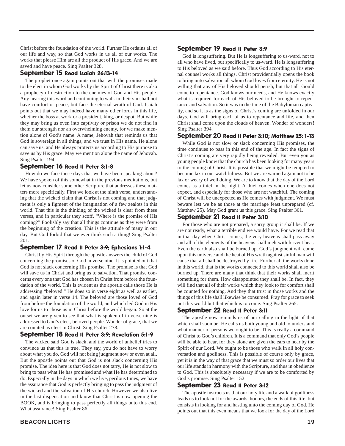Christ before the foundation of the world. Further He ordains all of our life and way, so that God works in us all of our works. The works that please Him are all the product of His grace. And we are saved and have peace. Sing Psalter 328.

#### September 15 Read Isaiah 26:13-14

The prophet once again points out that with the promises made to the elect in whom God works by the Spirit of Christ there is also a prophecy of destruction to the enemies of God and His people. Any hearing this word and continuing to walk in their sin shall not have comfort or peace, but face the eternal wrath of God. Isaiah points out that we may indeed have many other lords in this life, whether the boss at work or a president, king, or despot. But while they may bring us even into captivity or prison we do not find in them our strength nor an overwhelming enemy, for we make mention alone of God's name. A name, Jehovah that reminds us that God is sovereign in all things, and we trust in His name. He alone can save us, and He always protects us according to His purpose to save us by His grace. May we mention alone the name of Jehovah. Sing Psalter 194.

#### September 16 Read II Peter 3:1-8

How do we face these days that we have been speaking about? We have spoken of this somewhat in the previous meditations, but let us now consider some other Scripture that addresses these matters more specifically. First we look at the ninth verse, understanding that the wicked claim that Christ is not coming and that judgment is only a figment of the imagination of a few zealots in this world. That this is the thinking of the wicked is clear from these verses, and in particular they scoff, "Where is the promise of His coming?" Foolishly say that all things continue as they were from the beginning of the creation. This is the attitude of many in our day. But God forbid that we ever think such a thing! Sing Psalter 201.

#### September 17 Read II Peter 3:9; Ephesians 1:1-4

Christ by His Spirit through the apostle answers the child of God concerning the promises of God in verse nine. It is pointed out that God is not slack concerning His promise. The promise is that God will save us in Christ and bring us to salvation. That promise concerns every one that God has chosen in Christ from before the foundation of the world. This is evident as the apostle calls those He is addressing "beloved." He does so in verse eight as well as earlier, and again later in verse 14. The beloved are those loved of God from before the foundation of the world, and which led God in His love for us to chose us in Christ before the world began. So at the outset we are given to see that what is spoken of in verse nine is addressed to God's elect, beloved people. Wonder of grace, that we are counted as elect in Christ. Sing Psalter 278.

#### September 18 Read II Peter 3:9; Revelation 5:1-9

The wicked said God is slack, and the world of unbelief tries to convince us that this is true. They say, you do not have to worry about what you do, God will not bring judgment now or even at all. But the apostle points out that God is not slack concerning His promise. The idea here is that God does not tarry, He is not slow to bring to pass what He has promised and what He has determined to do. Especially in the days in which we live, perilous times, we have the assurance that God is perfectly bringing to pass the judgment of the wicked and the salvation of His church. However we also live in the last dispensation and know that Christ is now opening the BOOK, and is bringing to pass perfectly all things unto this end. What assurance! Sing Psalter 86.

#### September 19 Read II Peter 3:9

God is longsuffering. But He is longsuffering to us-ward, not to all who have lived, but specifically to us-ward. He is longsuffering to His beloved as we said before. Thus God according to His eternal counsel works all things. Christ providentially opens the book to bring unto salvation all whom God loves from eternity. He is not willing that any of His beloved should perish, but that all should come to repentance. God knows our needs, and He knows exactly what is required for each of His beloved to be brought to repentance and salvation. So it was in the time of the Babylonian captivity, and so it is as the signs of Christ's coming are unfolded in our days. God will bring each of us to repentance and life, and then Christ shall come upon the clouds of heaven. Wonder of wonders! Sing Psalter 394.

#### September 20 Read II Peter 3:10; Matthew 25: 1-13

While God is not slow or slack concerning His promises, the time continues to pass in this end of the age. In fact the signs of Christ's coming are very rapidly being revealed. But even you as young people know that the church has been looking for many years to the coming of Christ. It is possible that we might be tempted to become lax in our watchfulness. But we are warned again not to be lax or weary of well doing. We are to know that the day of the Lord comes as a thief in the night. A thief comes when one does not expect, and especially for those who are not watchful. The coming of Christ will be unexpected as He comes with judgment. We must beware lest we be as those at the marriage feast unprepared (cf. Matthew 25). May God grant us this grace. Sing Psalter 361.

#### September 21 Read II Peter 3:10

For those who are not prepared, a sorry group it shall be. If we are not ready, what a terrible end we would have. For we read that in that day when Christ comes, the very heavens shall pass away and all of the elements of the heavens shall melt with fervent heat. Even the earth also shall be burned up. God's judgment will come upon this universe and the heat of His wrath against sinful man will cause that all shall be destroyed by fire. Further all the works done in this world, that is the works connected to this world shall also be burned up. There are many that think that their works shall merit something for them. How disappointed they shall be. In fact, they will find that all of their works which they look to for comfort shall be counted for nothing. And they that trust in those works and the things of this life shall likewise be consumed. Pray for grace to seek not this world but that which is to come. Sing Psalter 265.

#### September 22 Read II Peter 3:11

The apostle now reminds us of our calling in the light of that which shall soon be. He calls us both young and old to understand what manner of persons we ought to be. This is really a command of Christ to God's children. It is a command that only God's people will be able to hear, for they alone are given the ears to hear by the Spirit of our Lord. We ought to be those who walk in all holy conversation and godliness. This is possible of course only by grace, yet it is in the way of that grace that we must so order our lives that our life stands in harmony with the Scripture, and thus in obedience to God. This is absolutely necessary if we are to be comforted by God's promise. Sing Psalter 152.

#### September 23 Read II Peter 3:12

The apostle instructs us that our holy life and a walk of godliness leads us to look not for the awards, honors, the ends of this life, but consists in looking for and hasting unto the coming day of God. He points out that this even means that we look for the day of the Lord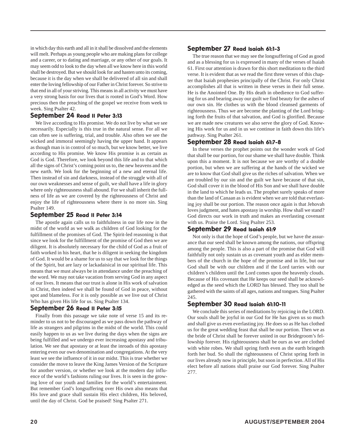in which day this earth and all in it shall be dissolved and the elements will melt. Perhaps as young people who are making plans for college and a career, or to dating and marriage, or any other of our goals. It may seem odd to look to the day when all we know here in this world shall be destroyed. But we should look for and hasten unto its coming, because it is the day when we shall be delivered of all sin and shall enter the loving fellowship of our Father in Christ forever. So strive to that end in all of your striving. This means in all activity we must have a very strong basis for our lives that is rooted in God's Word. How precious then the preaching of the gospel we receive from week to week. Sing Psalter 42.

#### September 24 Read II Peter 3:13

We live according to His promise. We do not live by what we see necessarily. Especially is this true in the natural sense. For all we can often see is suffering, trial, and trouble. Also often we see the wicked and immoral seemingly having the upper hand. It appears as though man is in control of so much, but we know better, we live according to His promise. We know His promise is as certain as God is God. Therefore, we look beyond this life and to that which all the signs of Christ's coming point us to, the new heavens and the new earth. We look for the beginning of a new and eternal life. Then instead of sin and darkness, instead of the struggle with all of our own weaknesses and sense of guilt, we shall have a life in glory where only righteousness shall abound. For we shall inherit the fullness of life as we are covered by the righteousness of Christ and enjoy the life of righteousness where there is no more sin. Sing Psalter 149.

#### September 25 Read II Peter 3:14

The apostle again calls us to faithfulness in our life now in the midst of the world as we walk as children of God looking for the fulfillment of the promises of God. The Spirit-led reasoning is that since we look for the fulfillment of the promise of God then we are diligent. It is absolutely necessary for the child of God as a fruit of faith worked in his heart, that he is diligent in seeking the kingdom of God. It would be a shame for us to say that we look for the things of the Spirit, but are lazy or lackadaisical in our spiritual life. This means that we must always be in attendance under the preaching of the word. We may not take vacation from serving God in any aspect of our lives. It means that our trust is alone in His work of salvation in Christ, then indeed we shall be found of God in peace, without spot and blameless. For it is only possible as we live out of Christ Who has given His life for us. Sing Psalter 134.

#### September 26 Read II Peter 3:15

Finally from this passage we take note of verse 15 and its reminder to us not to be discouraged as we pass down the pathway of life as strangers and pilgrims in the midst of the world. This could easily happen to us as we live during the days when the signs are being fulfilled and we undergo ever increasing apostasy and tribulation. We see that apostasy or at least the inroads of this apostasy entering even our own denomination and congregations. At the very least we see the influence of it in our midst. This is true whether we consider the move to leave the King James Version of the Scripture for another version, or whether we look at the modern day influence of the world's fashions ruling our lives. It is seen in the growing love of our youth and families for the world's entertainment. But remember God's longsuffering over His own also means that His love and grace shall sustain His elect children, His beloved, until the day of Christ. God be praised! Sing Psalter 271.

#### September 27 Read Isaiah 61:1-3

The true reason that we may see the longsuffering of God as good and as a blessing for us is expressed in many of the verses of Isaiah 61. First our attention is drawn for this short meditation to the third verse. It is evident that as we read the first three verses of this chapter that Isaiah prophesies principally of the Christ. For only Christ accomplishes all that is written in these verses in their full sense. He is the Anointed One. By His death in obedience to God suffering for us and bearing away our guilt we find beauty for the ashes of our own sin. He clothes us with the blood cleansed garments of righteousness. Thus we are become the planting of the Lord bringing forth the fruits of that salvation, and God is glorified. Because we are made new creatures we also serve the glory of God. Knowing His work for us and in us we continue in faith down this life's pathway. Sing Psalter 261.

#### September 28 Read Isaiah 61:7-8

In these verses the prophet points out the wonder work of God that shall be our portion, for our shame we shall have double. Think upon this a moment. It is not because we are worthy of a double portion, but when we are suffering at the hands of the wicked we are to know that God shall give us the riches of salvation. When we are troubled by our sin and the guilt we have because of that sin, God shall cover it in the blood of His Son and we shall have double in the land to which he leads us. The prophet surely speaks of more than the land of Canaan as is evident when we are told that everlasting joy shall be our portion. The reason once again is that Jehovah loves judgment, and hates apostasy in worship. How shall we stand? God directs our work in truth and makes an everlasting covenant with us. Praise the Lord. Sing Psalter 253.

#### September 29 Read Isaiah 61:9

Not only is that the hope of God's people, but we have the assurance that our seed shall be known among the nations, our offspring among the people. This is also a part of the promise that God will faithfully not only sustain us as covenant youth and as elder members of the church in the hope of the promise and in life, but our God shall be with our children and if the Lord tarries with our children's children until the Lord comes upon the heavenly clouds. Because of His covenant that He keeps our seed shall be acknowledged as the seed which the LORD has blessed. They too shall be gathered with the saints of all ages, nations and tongues. Sing Psalter 245.

#### September 30 Read Isaiah 61:10-11

We conclude this series of meditations by rejoicing in the LORD. Our souls shall be joyful in our God for He has given us so much and shall give us even everlasting joy. He does so as He has clothed us for the great wedding feast that shall be our portion. Then we as the bride of Christ shall be forever united in our Bridegroom's fellowship forever. His righteousness shall be ours as we are clothed with white robes. We shall spring forth even as the earth bringeth forth her bud. So shall the righteousness of Christ spring forth in our lives already now in principle, but soon in perfection. All of His elect before all nations shall praise our God forever. Sing Psalter 277.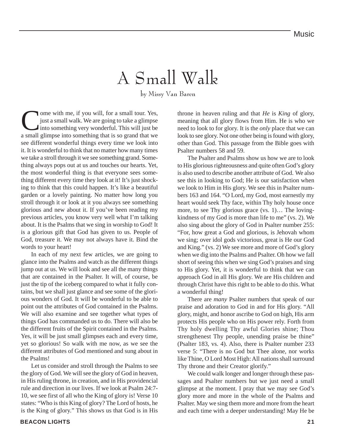### A Small Walk

by Missy Van Baren

Ome with me, if you will, for a small tour. Yes,<br>just a small walk. We are going to take a glimpse<br>into something very wonderful. This will just be<br>a small glimpse into something that is so grand that we just a small walk. We are going to take a glimpse into something very wonderful. This will just be a small glimpse into something that is so grand that we see different wonderful things every time we look into it. It is wonderful to think that no matter how many times we take a stroll through it we see something grand. Something always pops out at us and touches our hearts. Yet, the most wonderful thing is that everyone sees something different every time they look at it! It's just shocking to think that this could happen. It's like a beautiful garden or a lovely painting. No matter how long you stroll through it or look at it you always see something glorious and new about it. If you've been reading my previous articles, you know very well what I'm talking about. It is the Psalms that we sing in worship to God! It is a glorious gift that God has given to us. People of God, treasure it. We may not always have it. Bind the words to your heart!

In each of my next few articles, we are going to glance into the Psalms and watch as the different things jump out at us. We will look and see all the many things that are contained in the Psalter. It will, of course, be just the tip of the iceberg compared to what it fully contains, but we shall just glance and see some of the glorious wonders of God. It will be wonderful to be able to point out the attributes of God contained in the Psalms. We will also examine and see together what types of things God has commanded us to do. There will also be the different fruits of the Spirit contained in the Psalms. Yes, it will be just small glimpses each and every time, yet so glorious! So walk with me now, as we see the different attributes of God mentioned and sung about in the Psalms!

Let us consider and stroll through the Psalms to see the glory of God. We will see the glory of God in heaven, in His ruling throne, in creation, and in His providencial rule and direction in our lives. If we look at Psalm 24:7- 10, we see first of all who the King of glory is! Verse 10 states: "Who is this King of glory? The Lord of hosts, he is the King of glory." This shows us that God is in His throne in heaven ruling and that *He* is *King* of glory, meaning that all glory flows from Him. He is who we need to look to for glory. It is the *only* place that we can look to see glory. Not one other being is found with glory, other than God. This passage from the Bible goes with Psalter numbers 58 and 59.

The Psalter and Psalms show us how we are to look to His glorious righteousness and quite often God's glory is also used to describe another attribute of God. We also see this in looking to God; He is our satisfaction when we look to Him in His glory. We see this in Psalter numbers 163 and 164. "O Lord, my God, most earnestly my heart would seek Thy face, within Thy holy house once more, to see Thy glorious grace (vs. 1)... The lovingkindness of my God is more than life to me" (vs. 2). We also sing about the glory of God in Psalter number 255: "For, how great a God and glorious, is Jehovah whom we sing; over idol gods victorious, great is He our God and King." (vs. 2) We see more and more of God's glory when we dig into the Psalms and Psalter. Oh how we fall short of seeing this when we sing God's praises and sing to His glory. Yet, it is wonderful to think that we can approach God in all His glory. We are His children and through Christ have this right to be able to do this. What a wonderful thing!

There are *many* Psalter numbers that speak of our praise and adoration to God in and for His glory. "All glory, might, and honor ascribe to God on high, His arm protects His people who on His power rely. Forth from Thy holy dwelling Thy awful Glories shine; Thou strengthenest Thy people, unending praise be thine" (Psalter 183, vs. 4). Also, there is Psalter number 233 verse 5: "There is no God but Thee alone, nor works like Thine, O Lord Most High: All nations shall surround Thy throne and their Creator glorify."

We could walk longer and longer through these passages and Psalter numbers but we just need a small glimpse at the moment. I pray that we may see God's glory more and more in the whole of the Psalms and Psalter. May we sing them more and more from the heart and each time with a deeper understanding! May He be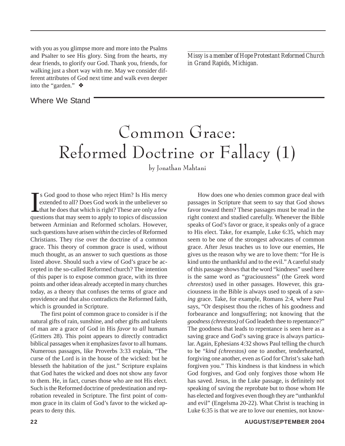with you as you glimpse more and more into the Psalms and Psalter to see His glory. Sing from the hearts, my dear friends, to glorify our God. Thank you, friends, for walking just a short way with me. May we consider different attributes of God next time and walk even deeper into the "garden." ❖

*\_\_\_\_\_\_\_\_\_\_\_\_\_\_\_\_\_\_\_\_\_\_\_\_\_\_\_\_\_\_\_\_\_\_\_\_\_\_\_\_\_\_\_\_\_\_\_\_\_\_\_ Missy is a member of Hope Protestant Reformed Church in Grand Rapids, Michigan.*

#### Where We Stand

### Common Grace: Reformed Doctrine or Fallacy (1)

by Jonathan Mahtani

I<sub>oue</sub> s God good to those who reject Him? Is His mercy extended to all? Does God work in the unbeliever so that he does that which is right? These are only a few questions that may seem to apply to topics of discussion between Arminian and Reformed scholars. However, such questions have arisen *within* the circles of Reformed Christians. They rise over the doctrine of a common grace. This theory of common grace is used, without much thought, as an answer to such questions as those listed above. Should such a view of God's grace be accepted in the so-called Reformed church? The intention of this paper is to expose common grace, with its three points and other ideas already accepted in many churches today, as a theory that confuses the terms of grace and providence and that also contradicts the Reformed faith, which is grounded in Scripture.

The first point of common grace to consider is if the natural gifts of rain, sunshine, and other gifts and talents of man are a grace of God in His *favor* to *all* humans (Gritters 28). This point appears to directly contradict biblical passages when it emphasizes favor to all humans. Numerous passages, like Proverbs 3:33 explain, "The curse of the Lord is in the house of the wicked: but he blesseth the habitation of the just." Scripture explains that God hates the wicked and does not show any favor to them. He, in fact, curses those who are not His elect. Such is the Reformed doctrine of predestination and reprobation revealed in Scripture. The first point of common grace in its claim of God's favor to the wicked appears to deny this.

passages in Scripture that seem to say that God shows favor toward them? These passages must be read in the right context and studied carefully. Whenever the Bible speaks of God's favor or grace, it speaks only of a grace to His elect. Take, for example, Luke 6:35, which may seem to be one of the strongest advocates of common grace. After Jesus teaches us to love our enemies, He gives us the reason why we are to love them: "for He is kind unto the unthankful and to the evil." A careful study of this passage shows that the word "kindness" used here is the same word as "graciousness" (the Greek word *chreestos*) used in other passages. However, this graciousness in the Bible is always used to speak of a *saving* grace. Take, for example, Romans 2:4, where Paul says, "Or despisest thou the riches of his goodness and forbearance and longsuffering; not knowing that the *goodness (chreestos)* of God leadeth thee to repentance?" The goodness that leads to repentance is seen here as a saving grace and God's saving grace is always particular. Again, Ephesians 4:32 shows Paul telling the church to be "*kind (chreestos)* one to another, tenderhearted, forgiving one another, even as God for Christ's sake hath forgiven you." This kindness is that kindness in which God forgives, and God only forgives those whom He has saved. Jesus, in the Luke passage, is definitely not speaking of saving the reprobate but to those whom He has elected and forgives even though they are "unthankful and evil" (Engelsma 20-22). What Christ is teaching in Luke 6:35 is that we are to love our enemies, not know-

How does one who denies common grace deal with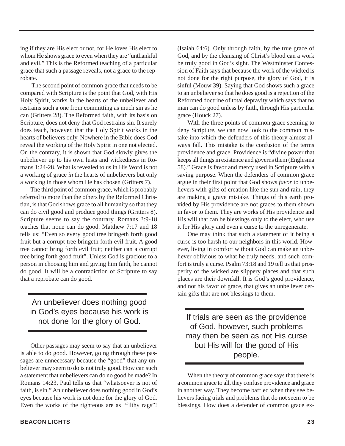ing if they are His elect or not, for He loves His elect to whom He shows grace to even when they are "unthankful and evil." This is the Reformed teaching of a particular grace that such a passage reveals, not a grace to the reprobate.

 The second point of common grace that needs to be compared with Scripture is the point that God, with His Holy Spirit, works *in* the hearts of the unbeliever and restrains such a one from committing as much sin as he can (Gritters 28). The Reformed faith, with its basis on Scripture, does not deny that God restrains sin. It surely does teach, however, that the Holy Spirit works in the hearts of believers only. Nowhere in the Bible does God reveal the working of the Holy Spirit in one not elected. On the contrary, it is shown that God slowly gives the unbeliever up to his own lusts and wickedness in Romans 1:24-28. What is revealed to us in His Word is not a working of grace *in* the hearts of unbelievers but only a working in those whom He has chosen (Gritters 7).

The third point of common grace, which is probably referred to more than the others by the Reformed Christian, is that God shows grace to all humanity so that they can do civil good and produce good things (Gritters 8). Scripture seems to say the contrary. Romans 3:9-18 teaches that none can do good. Matthew 7:17 and 18 tells us: "Even so every good tree bringeth forth good fruit but a corrupt tree bringeth forth evil fruit. A good tree cannot bring forth evil fruit; neither can a corrupt tree bring forth good fruit". Unless God is gracious to a person in choosing him and giving him faith, he cannot do good. It will be a contradiction of Scripture to say that a reprobate can do good.

### An unbeliever does nothing good in God's eyes because his work is

Other passages may seem to say that an unbeliever is able to do good. However, going through these passages are unnecessary because the "good" that any unbeliever may seem to do is not truly good. How can such a statement that unbelievers can do no good be made? In Romans 14:23, Paul tells us that "whatsoever is not of faith, is sin." An unbeliever does nothing good in God's eyes because his work is not done for the glory of God. Even the works of the righteous are as "filthy rags"!

(Isaiah 64:6). Only through faith, by the true grace of God, and by the cleansing of Christ's blood can a work be truly good in God's sight. The Westminster Confession of Faith says that because the work of the wicked is not done for the right purpose, the glory of God, it is sinful (Mouw 39). Saying that God shows such a grace to an unbeliever so that he does good is a rejection of the Reformed doctrine of total depravity which says that no man can do good unless by faith, through His particular grace (Houck 27).

With the three points of common grace seeming to deny Scripture, we can now look to the common mistake into which the defenders of this theory almost always fall. This mistake is the confusion of the terms providence and grace. Providence is "divine power that keeps all things in existence and governs them (Englesma 58)." Grace is favor and mercy used in Scripture with a saving purpose. When the defenders of common grace argue in their first point that God shows *favor* to unbelievers with gifts of creation like the sun and rain, they are making a grave mistake. Things of this earth provided by His providence are not graces to them shown in favor to them. They are works of His providence and His will that can be blessings only to the elect, who use it for His glory and even a curse to the unregenerate.

One may think that such a statement of it being a curse is too harsh to our neighbors in this world. However, living in comfort without God can make an unbeliever oblivious to what he truly needs, and such comfort is truly a curse. Psalm 73:18 and 19 tell us that prosperity of the wicked are slippery places and that such places are their downfall. It is God's good providence, and not his favor of grace, that gives an unbeliever certain gifts that are not blessings to them.

**not done for the glory of God.** If trials are seen as the providence not done for the glory of God. of God, however, such problems may then be seen as not His curse but His will for the good of His people.

> When the theory of common grace says that there is a common grace to all, they confuse providence and grace in another way. They become baffled when they see believers facing trials and problems that do not seem to be blessings. How does a defender of common grace ex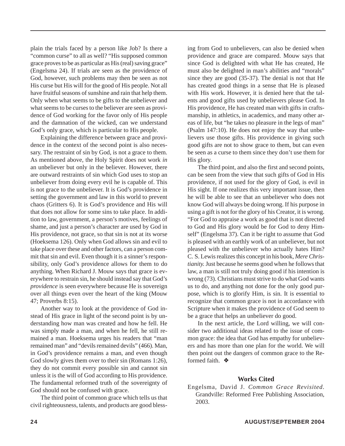plain the trials faced by a person like Job? Is there a "common curse" to all as well? "His supposed common grace proves to be as particular as His (real) saving grace" (Engelsma 24). If trials are seen as the providence of God, however, such problems may then be seen as not His curse but His will for the good of His people. Not all have fruitful seasons of sunshine and rain that help them. Only when what seems to be gifts to the unbeliever and what seems to be curses to the believer are seen as providence of God working for the favor only of His people and the damnation of the wicked, can we understand God's only grace, which is particular to His people.

Explaining the difference between grace and providence in the context of the second point is also necessary. The restraint of sin by God, is not a grace to them. As mentioned above, the Holy Spirit does not work *in* an unbeliever but only in the believer. However, there are outward restraints of sin which God uses to stop an unbeliever from doing every evil he is capable of. This is not grace to the unbeliever. It is God's providence in setting the government and law in this world to prevent chaos (Gritters 6). It is God's providence and His will that does not allow for some sins to take place. In addition to law, government, a person's motives, feelings of shame, and just a person's character are used by God in His providence, not grace, so that sin is not at its worse (Hoeksema 126). Only when God allows sin and evil to take place over these and other factors, can a person commit that sin and evil. Even though it is a sinner's responsibility, only God's providence allows for them to do anything. When Richard J. Mouw says that grace is everywhere to restrain sin, he should instead say that God's *providence* is seen everywhere because He is sovereign over all things even over the heart of the king (Mouw 47; Proverbs 8:15).

Another way to look at the providence of God instead of His grace in light of the second point is by understanding how man was created and how he fell. He was simply made a man, and when he fell, he still remained a man. Hoeksema urges his readers that "man remained man" and "devils remained devils" (466). Man, in God's providence remains a man, and even though God slowly gives them over to their sin (Romans 1:26), they do not commit every possible sin and cannot sin unless it is the will of God according to His providence. The fundamental reformed truth of the sovereignty of God should not be confused with grace.

The third point of common grace which tells us that civil righteousness, talents, and products are good blessing from God to unbelievers, can also be denied when providence and grace are compared. Mouw says that since God is delighted with what He has created, He must also be delighted in man's abilities and "morals" since they are good (35-37). The denial is not that He has created good things in a sense that He is pleased with His work. However, it is denied here that the talents and good gifts used by unbelievers please God. In His providence, He has created man with gifts in craftsmanship, in athletics, in academics, and many other areas of life, but "he takes no pleasure in the legs of man" (Psalm 147:10). He does not enjoy the way that unbelievers use those gifts. His providence in giving such good gifts are not to show grace to them, but can even be seen as a curse to them since they don't use them for His glory.

The third point, and also the first and second points, can be seen from the view that such gifts of God in His providence, if not used for the glory of God, is evil in His sight. If one realizes this very important issue, then he will be able to see that an unbeliever who does not know God will always be doing wrong. If his purpose in using a gift is not for the glory of his Creator, it is wrong. "For God to appraise a work as good that is not directed to God and His glory would be for God to deny Himself" (Engelsma 37). Can it be right to assume that God is pleased with an earthly work of an unbeliever, but not pleased with the unbeliever who actually hates Him? C. S. Lewis realizes this concept in his book, *Mere Christianity.* Just because he seems good when he follows that law, a man is still not truly doing good if his intention is wrong (73). Christians must strive to do what God wants us to do, and anything not done for the only good purpose, which is to glorify Him, is sin. It is essential to recognize that common grace is not in accordance with Scripture when it makes the providence of God seem to be a grace that helps an unbeliever do good.

In the next article, the Lord willing, we will consider two additional ideas related to the issue of common grace: the idea that God has empathy for unbelievers and has more than one plan for the world. We will then point out the dangers of common grace to the Reformed faith. ❖

#### **Works Cited**

Engelsma, David J. *Common Grace Revisited.* Grandville: Reformed Free Publishing Association, 2003.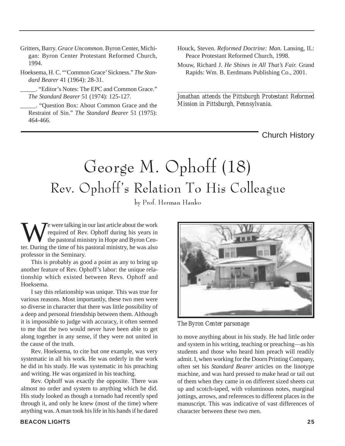- Gritters, Barry. *Grace Uncommon.* Byron Center, Michigan: Byron Center Protestant Reformed Church, 1994.
- Hoeksema, H. C. "'Common Grace' Sickness." *The Standard Bearer* 41 (1964): 28-31.
	- \_\_\_\_\_. "Editor's Notes: The EPC and Common Grace." *The Standard Bearer* 51 (1974): 125-127.
	- \_\_\_\_\_. "Question Box: About Common Grace and the Restraint of Sin." *The Standard Bearer* 51 (1975): 464-466.
- Houck, Steven. *Reformed Doctrine: Man.* Lansing, IL: Peace Protestant Reformed Church, 1998.
- Mouw, Richard J. *He Shines in All That's Fair.* Grand Rapids: Wm. B. Eerdmans Publishing Co., 2001.

*\_\_\_\_\_\_\_\_\_\_\_\_\_\_\_\_\_\_\_\_\_\_\_\_\_\_\_\_\_\_\_\_\_\_\_\_\_\_\_\_\_\_\_\_\_\_\_ Jonathan attends the Pittsburgh Protestant Reformed Mission in Pittsburgh, Pennsylvania.*

Church History

## George M. Ophoff (18) Rev. Ophoff's Relation To His Colleague

by Prof. Herman Hanko

We were talking in our last article about the work<br>required of Rev. Ophoff during his years in<br>the pastoral ministry in Hope and Byron Center.<br>During the time of his pastoral ministry, he was also required of Rev. Ophoff during his years in the pastoral ministry in Hope and Byron Center. During the time of his pastoral ministry, he was also professor in the Seminary.

This is probably as good a point as any to bring up another feature of Rev. Ophoff's labor: the unique relationship which existed between Revs. Ophoff and Hoeksema.

I say this relationship was unique. This was true for various reasons. Most importantly, these two men were so diverse in character that there was little possibility of a deep and personal friendship between them. Although it is impossible to judge with accuracy, it often seemed to me that the two would never have been able to get along together in any sense, if they were not united in the cause of the truth.

Rev. Hoeksema, to cite but one example, was very systematic in all his work. He was orderly in the work he did in his study. He was systematic in his preaching and writing. He was organized in his teaching.

Rev. Ophoff was exactly the opposite. There was almost no order and system to anything which he did. His study looked as though a tornado had recently sped through it, and only he knew (most of the time) where anything was. A man took his life in his hands if he dared



*The Byron Center parsonage*

to move anything about in his study. He had little order and system in his writing, teaching or preaching—as his students and those who heard him preach will readily admit. I, when working for the Doorn Printing Company, often set his *Standard Bearer* articles on the linotype machine, and was hard pressed to make head or tail out of them when they came in on different sized sheets cut up and scotch-taped, with voluminous notes, marginal jottings, arrows, and references to different places in the manuscript. This was indicative of vast differences of character between these two men.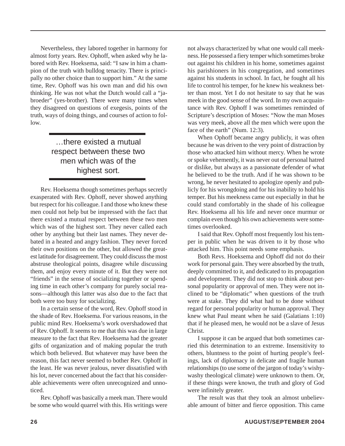Nevertheless, they labored together in harmony for almost forty years. Rev. Ophoff, when asked why he labored with Rev. Hoeksema, said: "I saw in him a champion of the truth with bulldog tenacity. There is principally no other choice than to support him." At the same time, Rev. Ophoff was his own man and did his own thinking. He was not what the Dutch would call a "jabroeder" (yes-brother). There were many times when they disagreed on questions of exegesis, points of the truth, ways of doing things, and courses of action to follow.

#### …there existed a mutual respect between these two men which was of the highest sort.

Rev. Hoeksema though sometimes perhaps secretly exasperated with Rev. Ophoff, never showed anything but respect for his colleague. I and those who knew these men could not help but be impressed with the fact that there existed a mutual respect between these two men which was of the highest sort. They never called each other by anything but their last names. They never debated in a heated and angry fashion. They never forced their own positions on the other, but allowed the greatest latitude for disagreement. They could discuss the most abstruse theological points, disagree while discussing them, and enjoy every minute of it. But they were not "friends" in the sense of socializing together or spending time in each other's company for purely social reasons—although this latter was also due to the fact that both were too busy for socializing.

In a certain sense of the word, Rev. Ophoff stood in the shade of Rev. Hoeksema. For various reasons, in the public mind Rev. Hoeksema's work overshadowed that of Rev. Ophoff. It seems to me that this was due in large measure to the fact that Rev. Hoeksema had the greater gifts of organization and of making popular the truth which both believed. But whatever may have been the reason, this fact never seemed to bother Rev. Ophoff in the least. He was never jealous, never dissatisfied with his lot, never concerned about the fact that his considerable achievements were often unrecognized and unnoticed.

Rev. Ophoff was basically a meek man. There would be some who would quarrel with this. His writings were not always characterized by what one would call meekness. He possessed a fiery temper which sometimes broke out against his children in his home, sometimes against his parishioners in his congregation, and sometimes against his students in school. In fact, he fought all his life to control his temper, for he knew his weakness better than most. Yet I do not hesitate to say that he was meek in the good sense of the word. In my own acquaintance with Rev. Ophoff I was sometimes reminded of Scripture's description of Moses: "Now the man Moses was very meek, above all the men which were upon the face of the earth" (Num. 12:3).

When Ophoff became angry publicly, it was often because he was driven to the very point of distraction by those who attacked him without mercy. When he wrote or spoke vehemently, it was never out of personal hatred or dislike, but always as a passionate defender of what he believed to be the truth. And if he was shown to be wrong, he never hesitated to apologize openly and publicly for his wrongdoing and for his inability to hold his temper. But his meekness came out especially in that he could stand comfortably in the shade of his colleague Rev. Hoeksema all his life and never once murmur or complain even though his own achievements were sometimes overlooked.

I said that Rev. Ophoff most frequently lost his temper in public when he was driven to it by those who attacked him. This point needs some emphasis.

Both Revs. Hoeksema and Ophoff did not do their work for personal gain. They were absorbed by the truth, deeply committed to it, and dedicated to its propagation and development. They did not stop to think about personal popularity or approval of men. They were not inclined to be "diplomatic" when questions of the truth were at stake. They did what had to be done without regard for personal popularity or human approval. They knew what Paul meant when he said (Galatians 1:10) that if he pleased men, he would not be a slave of Jesus Christ.

I suppose it can be argued that both sometimes carried this determination to an extreme. Insensitivity to others, bluntness to the point of hurting people's feelings, lack of diplomacy in delicate and fragile human relationships (to use some of the jargon of today's wishywashy theological climate) were unknown to them. Or, if these things were known, the truth and glory of God were infinitely greater.

The result was that they took an almost unbelievable amount of bitter and fierce opposition. This came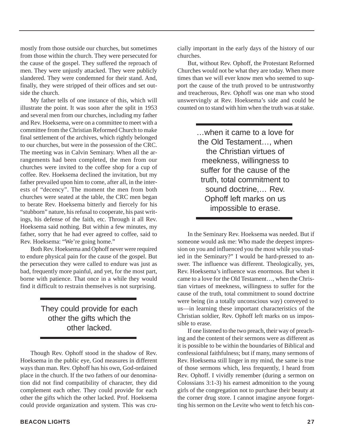mostly from those outside our churches, but sometimes from those within the church. They were persecuted for the cause of the gospel. They suffered the reproach of men. They were unjustly attacked. They were publicly slandered. They were condemned for their stand. And, finally, they were stripped of their offices and set outside the church.

My father tells of one instance of this, which will illustrate the point. It was soon after the split in 1953 and several men from our churches, including my father and Rev. Hoeksema, were on a committee to meet with a committee from the Christian Reformed Church to make final settlement of the archives, which rightly belonged to our churches, but were in the possession of the CRC. The meeting was in Calvin Seminary. When all the arrangements had been completed, the men from our churches were invited to the coffee shop for a cup of coffee. Rev. Hoeksema declined the invitation, but my father prevailed upon him to come, after all, in the interests of "decency". The moment the men from both churches were seated at the table, the CRC men began to berate Rev. Hoeksema bitterly and fiercely for his "stubborn" nature, his refusal to cooperate, his past writings, his defense of the faith, etc. Through it all Rev. Hoeksema said nothing. But within a few minutes, my father, sorry that he had ever agreed to coffee, said to Rev. Hoeksema: "We're going home."

Both Rev. Hoeksema and Ophoff never were required to endure physical pain for the cause of the gospel. But the persecution they were called to endure was just as bad, frequently more painful, and yet, for the most part, borne with patience. That once in a while they would find it difficult to restrain themselves is not surprising.

#### They could provide for each other the gifts which the other lacked.

Though Rev. Ophoff stood in the shadow of Rev. Hoeksema in the public eye, God measures in different ways than man. Rev. Ophoff has his own, God-ordained place in the church. If the two fathers of our denomination did not find compatibility of character, they did complement each other. They could provide for each other the gifts which the other lacked. Prof. Hoeksema could provide organization and system. This was crucially important in the early days of the history of our churches.

But, without Rev. Ophoff, the Protestant Reformed Churches would not be what they are today. When more times than we will ever know men who seemed to support the cause of the truth proved to be untrustworthy and treacherous, Rev. Ophoff was one man who stood unswervingly at Rev. Hoeksema's side and could be counted on to stand with him when the truth was at stake.

> …when it came to a love for the Old Testament…, when the Christian virtues of meekness, willingness to suffer for the cause of the truth, total commitment to sound doctrine,… Rev. Ophoff left marks on us impossible to erase.

In the Seminary Rev. Hoeksema was needed. But if someone would ask me: Who made the deepest impression on you and influenced you the most while you studied in the Seminary?" I would be hard-pressed to answer. The influence was different. Theologically, yes, Rev. Hoeksema's influence was enormous. But when it came to a love for the Old Testament…, when the Christian virtues of meekness, willingness to suffer for the cause of the truth, total commitment to sound doctrine were being (in a totally unconscious way) conveyed to us—in learning these important characteristics of the Christian soldier, Rev. Ophoff left marks on us impossible to erase.

If one listened to the two preach, their way of preaching and the content of their sermons were as different as it is possible to be within the boundaries of Biblical and confessional faithfulness; but if many, many sermons of Rev. Hoeksema still linger in my mind, the same is true of those sermons which, less frequently, I heard from Rev. Ophoff. I vividly remember (during a sermon on Colossians 3:1-3) his earnest admonition to the young girls of the congregation not to purchase their beauty at the corner drug store. I cannot imagine anyone forgetting his sermon on the Levite who went to fetch his con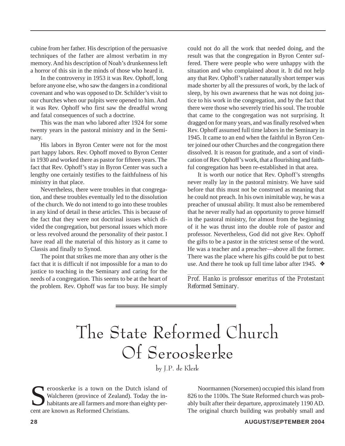cubine from her father. His description of the persuasive techniques of the father are almost verbatim in my memory. And his description of Noah's drunkenness left a horror of this sin in the minds of those who heard it.

In the controversy in 1953 it was Rev. Ophoff, long before anyone else, who saw the dangers in a conditional covenant and who was opposed to Dr. Schilder's visit to our churches when our pulpits were opened to him. And it was Rev. Ophoff who first saw the dreadful wrong and fatal consequences of such a doctrine.

This was the man who labored after 1924 for some twenty years in the pastoral ministry and in the Seminary.

His labors in Byron Center were not for the most part happy labors. Rev. Ophoff moved to Byron Center in 1930 and worked there as pastor for fifteen years. The fact that Rev. Ophoff's stay in Byron Center was such a lengthy one certainly testifies to the faithfulness of his ministry in that place.

Nevertheless, there were troubles in that congregation, and these troubles eventually led to the dissolution of the church. We do not intend to go into these troubles in any kind of detail in these articles. This is because of the fact that they were not doctrinal issues which divided the congregation, but personal issues which more or less revolved around the personality of their pastor. I have read all the material of this history as it came to Classis and finally to Synod.

The point that strikes me more than any other is the fact that it is difficult if not impossible for a man to do justice to teaching in the Seminary and caring for the needs of a congregation. This seems to be at the heart of the problem. Rev. Ophoff was far too busy. He simply

could not do all the work that needed doing, and the result was that the congregation in Byron Center suffered. There were people who were unhappy with the situation and who complained about it. It did not help any that Rev. Ophoff's rather naturally short temper was made shorter by all the pressures of work, by the lack of sleep, by his own awareness that he was not doing justice to his work in the congregation, and by the fact that there were those who severely tried his soul. The trouble that came to the congregation was not surprising. It dragged on for many years, and was finally resolved when Rev. Ophoff assumed full time labors in the Seminary in 1945. It came to an end when the faithful in Byron Center joined our other Churches and the congregation there dissolved. It is reason for gratitude, and a sort of vindication of Rev. Ophoff's work, that a flourishing and faithful congregation has been re-established in that area.

It is worth our notice that Rev. Ophoff's strengths never really lay in the pastoral ministry. We have said before that this must not be construed as meaning that he could not preach. In his own inimitable way, he was a preacher of unusual ability. It must also be remembered that he never really had an opportunity to prove himself in the pastoral ministry, for almost from the beginning of it he was thrust into the double role of pastor and professor. Nevertheless, God did not give Rev. Ophoff the gifts to be a pastor in the strictest sense of the word. He was a teacher and a preacher—above all the former. There was the place where his gifts could be put to best use. And there he took up full time labor after 1945. ❖

*\_\_\_\_\_\_\_\_\_\_\_\_\_\_\_\_\_\_\_\_\_\_\_\_\_\_\_\_\_\_\_\_\_\_\_\_\_\_\_\_\_\_\_\_\_\_\_\_\_\_ Prof. Hanko is professor emeritus of the Protestant Reformed Seminary.*

## The State Reformed Church Of Serooskerke

by J.P. de Klerk

Serooskerke is a town on the Dutch island of<br>Walcheren (province of Zealand). Today the in-<br>habitants are all farmers and more than eighty per-<br>cent are known as Reformed Christians Walcheren (province of Zealand). Today the inhabitants are all farmers and more than eighty percent are known as Reformed Christians.

Noormannen (Norsemen) occupied this island from 826 to the 1100s. The State Reformed church was probably built after their departure, approximately 1190 AD. The original church building was probably small and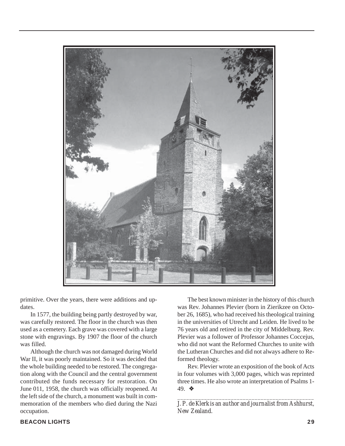

primitive. Over the years, there were additions and updates.

In 1577, the building being partly destroyed by war, was carefully restored. The floor in the church was then used as a cemetery. Each grave was covered with a large stone with engravings. By 1907 the floor of the church was filled.

Although the church was not damaged during World War II, it was poorly maintained. So it was decided that the whole building needed to be restored. The congregation along with the Council and the central government contributed the funds necessary for restoration. On June 011, 1958, the church was officially reopened. At the left side of the church, a monument was built in commemoration of the members who died during the Nazi occupation.

The best known minister in the history of this church was Rev. Johannes Plevier (born in Zierikzee on October 26, 1685), who had received his theological training in the universities of Utrecht and Leiden. He lived to be 76 years old and retired in the city of Middelburg. Rev. Plevier was a follower of Professor Johannes Coccejus, who did not want the Reformed Churches to unite with the Lutheran Churches and did not always adhere to Reformed theology.

Rev. Plevier wrote an exposition of the book of Acts in four volumes with 3,000 pages, which was reprinted three times. He also wrote an interpretation of Psalms 1- 49. ❖

*\_\_\_\_\_\_\_\_\_\_\_\_\_\_\_\_\_\_\_\_\_\_\_\_\_\_\_\_\_\_\_\_\_\_\_\_\_\_\_\_\_\_\_\_\_\_ J. P. de Klerk is an author and journalist from Ashhurst, New Zealand.*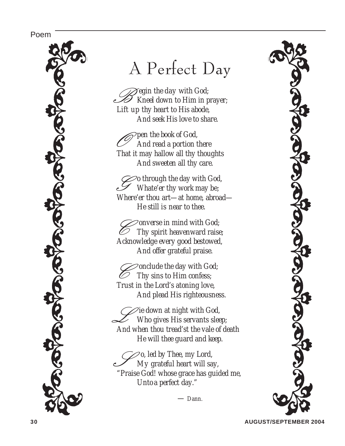

### A Perfect Day

**B** egin the day with God;<br>**B** Kneel down to Him in p<br>*Lift* yn thy beart to His abode *Kneel down to Him in prayer; Lift up thy heart to His abode, And seek His love to share.*

*P* pen the book of God,<br>And read a portion *And read a portion there That it may hallow all thy thoughts And sweeten all thy care.*

G *o through the day with God, Whate'er thy work may be; Where'er thou art—at home, abroad— He still is near to thee.*

*C* onverse in mind with God;<br> *C* Thy spirit heavenward raise *Thy spirit heavenward raise; Acknowledge every good bestowed, And offer grateful praise.*

C *onclude the day with God; Thy sins to Him confess; Trust in the Lord's atoning love, And plead His righteousness.*

*L* ie down at night with God,<br>Who gives His servants slee<br>And when they tread'st the vale of *Who gives His servants sleep; And when thou tread'st the vale of death He will thee guard and keep.*

*o, led by Thee, my Lord,*<br>My grateful heart will sa *My grateful heart will say, "Praise God! whose grace has guided me, Unto a perfect day."*

*— Dann.*

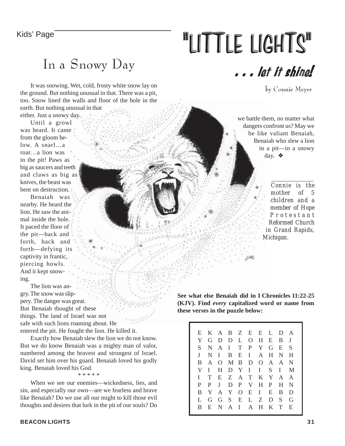# Kids' Page **The Contract Contract Contract Contract Contract Contract Contract Contract Contract Contract Contract Contract Contract Contract Contract Contract Contract Contract Contract Contract Contract Contract Contract**

### In a Snowy Day

It was snowing. Wet, cold, frosty white snow lay on the ground. But nothing unusual in that. There was a pit, too. Snow lined the walls and floor of the hole in the earth. But nothing unusual in that

either. Just a snowy day. Until a growl

was heard. It came from the gloom below. A snarl…a roar…a lion was in the pit! Paws as big as saucers and teeth and claws as big as knives, the beast was bent on destruction.

Benaiah was nearby. He heard the lion. He saw the animal inside the hole. It paced the floor of the pit—back and forth, back and forth—defying its captivity in frantic, piercing howls. And it kept snowing.

The lion was angry. The snow was slippery. The danger was great. But Benaiah thought of these things. The land of Israel was not safe with such lions roaming about. He entered the pit. He fought the lion. He killed it.

Exactly how Benaiah slew the lion we do not know. But we do know Benaiah was a mighty man of valor, numbered among the bravest and strongest of Israel. David set him over his guard. Benaiah loved his godly king. Benaiah loved his God.

\* \* \* \* \*

When we see our enemies—wickedness, lies, and sin, and especially our own—are we fearless and brave like Benaiah? Do we use all our might to kill those evil thoughts and desires that lurk in the pit of our souls? Do

. . . let it shine!

by Connie Meyer

we battle them, no matter what dangers confront us? May we be like valiant Benaiah, Benaiah who slew a lion in a pit—in a snowy day. ❖

> *Connie is the mother of 5 children and a member of Hope Protestant Reformed Church in Grand Rapids, Michigan.*

*\_\_\_\_\_\_\_\_\_\_\_\_\_\_\_\_\_\_\_\_\_\_\_\_\_\_\_\_\_\_\_\_\_\_\_\_\_\_\_\_\_\_\_\_\_\_\_\_*

**See what else Benaiah did in I Chronicles 11:22-25 (KJV). Find** *every* **capitalized word or name from these verses in the puzzle below:**

|              |              |              | E K A B Z E E L D A |  |             |                |              |              |
|--------------|--------------|--------------|---------------------|--|-------------|----------------|--------------|--------------|
| Y            | G            |              | D D L O H E         |  |             |                | B.           |              |
| S.           | N.           |              | A I T P             |  | $Y$ G       |                | $E_{\perp}$  | S            |
| $\mathbf{I}$ | N.           | $\mathbf{I}$ |                     |  | B E I A H N |                |              | $_{\rm H}$   |
| B            | $\mathsf{A}$ |              | O M B D O A A N     |  |             |                |              |              |
| V            | L            |              | H D Y I I           |  |             | S.             | $\mathbf{I}$ | M            |
| L            | T            |              | E Z A T K Y         |  |             |                | A            | $\mathsf{A}$ |
| P            | P            | $\mathbf{I}$ |                     |  | D P V H P   |                | H N          |              |
| R            | Y            |              | A Y                 |  | $O$ E I     | $E_{\perp}$    | B            | D            |
| L            | G            |              | GSELZ               |  |             | D <sub>S</sub> |              | G            |
| R            | E.           |              | N A I A H           |  |             | $K$ T          |              | E            |
|              |              |              |                     |  |             |                |              |              |